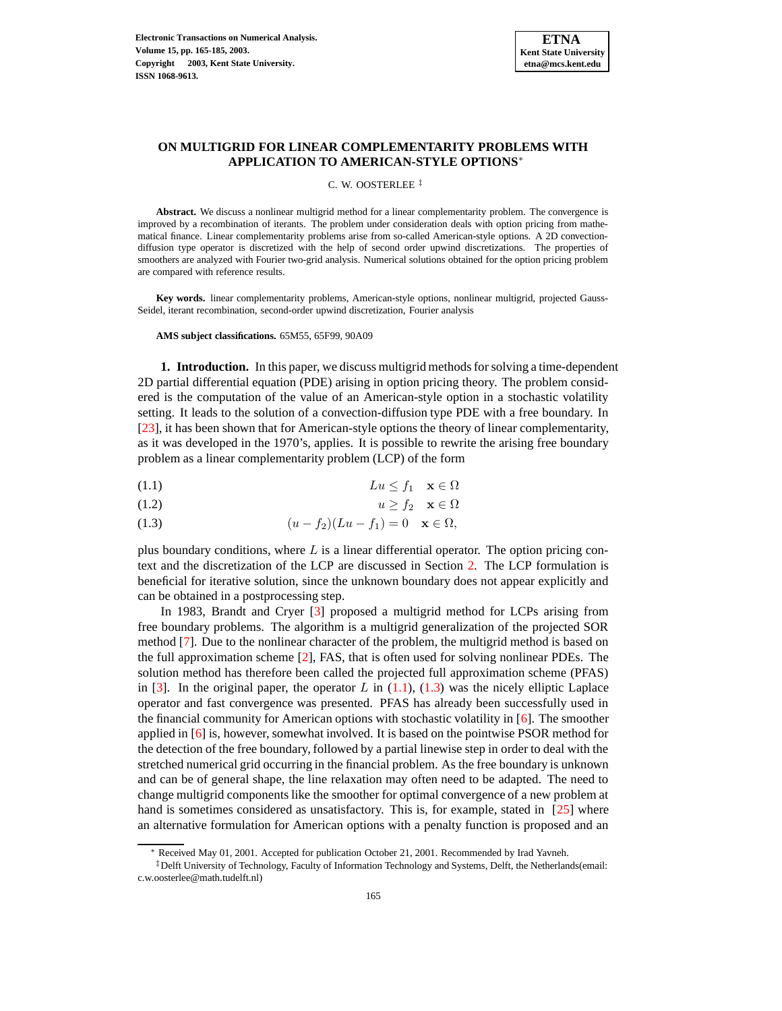

# **ON MULTIGRID FOR LINEAR COMPLEMENTARITY PROBLEMS WITH APPLICATION TO AMERICAN-STYLE OPTIONS**<sup>∗</sup>

C. W. OOSTERLEE ‡

**Abstract.** We discuss a nonlinear multigrid method for a linear complementarity problem. The convergence is improved by a recombination of iterants. The problem under consideration deals with option pricing from mathematical finance. Linear complementarity problems arise from so-called American-style options. A 2D convectiondiffusion type operator is discretized with the help of second order upwind discretizations. The properties of smoothers are analyzed with Fourier two-grid analysis. Numerical solutions obtained for the option pricing problem are compared with reference results.

**Key words.** linear complementarity problems, American-style options, nonlinear multigrid, projected Gauss-Seidel, iterant recombination, second-order upwind discretization, Fourier analysis

**AMS subject classifications.** 65M55, 65F99, 90A09

**1. Introduction.** In this paper, we discuss multigrid methods for solving a time-dependent 2D partial differential equation (PDE) arising in option pricing theory. The problem considered is the computation of the value of an American-style option in a stochastic volatility setting. It leads to the solution of a convection-diffusion type PDE with a free boundary. In [\[23\]](#page-20-0), it has been shown that for American-style options the theory of linear complementarity, as it was developed in the 1970's, applies. It is possible to rewrite the arising free boundary problem as a linear complementarity problem (LCP) of the form

<span id="page-0-0"></span>
$$
(1.1) \t\t\t Lu \le f_1 \t\t \mathbf{x} \in \Omega
$$

$$
(1.2) \t\t u \ge f_2 \t \mathbf{x} \in \Omega
$$

(1.3) 
$$
(u - f_2)(Lu - f_1) = 0 \quad \mathbf{x} \in \Omega,
$$

plus boundary conditions, where  $L$  is a linear differential operator. The option pricing context and the discretization of the LCP are discussed in Section [2.](#page-1-0) The LCP formulation is beneficial for iterative solution, since the unknown boundary does not appear explicitly and can be obtained in a postprocessing step.

In 1983, Brandt and Cryer [\[3\]](#page-19-0) proposed a multigrid method for LCPs arising from free boundary problems. The algorithm is a multigrid generalization of the projected SOR method [\[7\]](#page-20-1). Due to the nonlinear character of the problem, the multigrid method is based on the full approximation scheme [\[2\]](#page-19-1), FAS, that is often used for solving nonlinear PDEs. The solution method has therefore been called the projected full approximation scheme (PFAS) in  $[3]$ . In the original paper, the operator L in  $(1.1)$ ,  $(1.3)$  was the nicely elliptic Laplace operator and fast convergence was presented. PFAS has already been successfully used in the financial community for American options with stochastic volatility in  $[6]$ . The smoother applied in [\[6\]](#page-20-2) is, however, somewhat involved. It is based on the pointwise PSOR method for the detection of the free boundary, followed by a partial linewise step in order to deal with the stretched numerical grid occurring in the financial problem. As the free boundary is unknown and can be of general shape, the line relaxation may often need to be adapted. The need to change multigrid components like the smoother for optimal convergence of a new problem at hand is sometimes considered as unsatisfactory. This is, for example, stated in [\[25\]](#page-20-3) where an alternative formulation for American options with a penalty function is proposed and an

<sup>∗</sup> Received May 01, 2001. Accepted for publication October 21, 2001. Recommended by Irad Yavneh.

<sup>‡</sup>Delft University of Technology, Faculty of Information Technology and Systems, Delft, the Netherlands(email: c.w.oosterlee@math.tudelft.nl)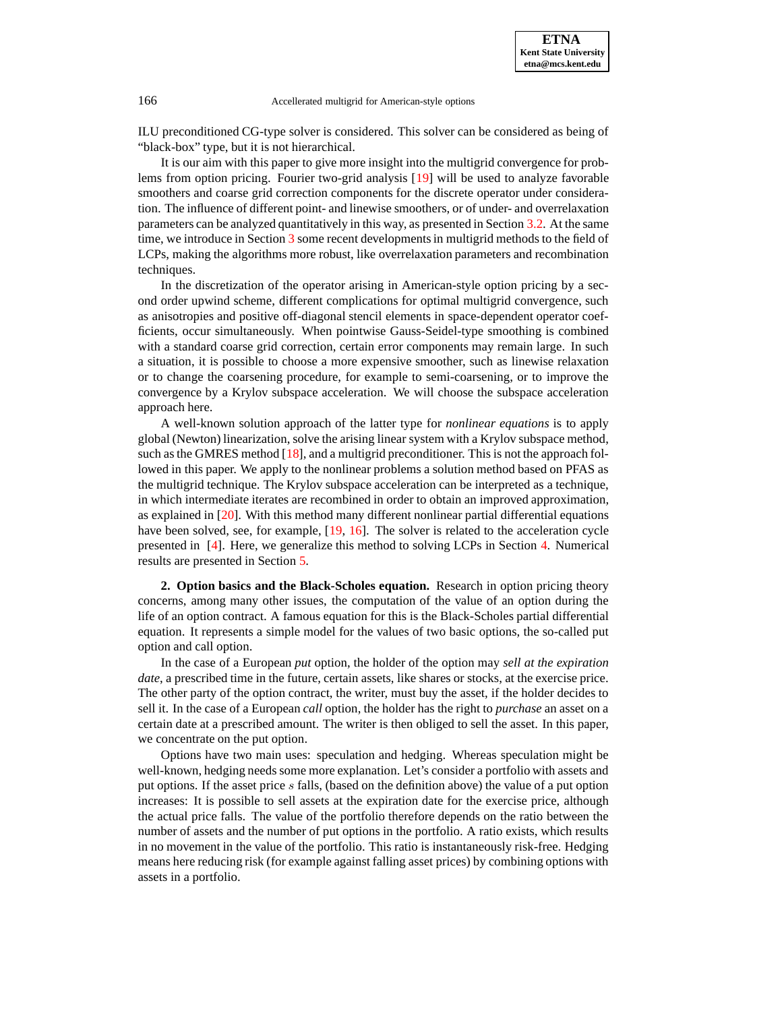ILU preconditioned CG-type solver is considered. This solver can be considered as being of "black-box" type, but it is not hierarchical.

It is our aim with this paper to give more insight into the multigrid convergence for problems from option pricing. Fourier two-grid analysis [\[19\]](#page-20-4) will be used to analyze favorable smoothers and coarse grid correction components for the discrete operator under consideration. The influence of different point- and linewise smoothers, or of under- and overrelaxation parameters can be analyzed quantitatively in this way, as presented in Section [3.2.](#page-6-0) At the same time, we introduce in Section [3](#page-6-1) some recent developments in multigrid methods to the field of LCPs, making the algorithms more robust, like overrelaxation parameters and recombination techniques.

In the discretization of the operator arising in American-style option pricing by a second order upwind scheme, different complications for optimal multigrid convergence, such as anisotropies and positive off-diagonal stencil elements in space-dependent operator coefficients, occur simultaneously. When pointwise Gauss-Seidel-type smoothing is combined with a standard coarse grid correction, certain error components may remain large. In such a situation, it is possible to choose a more expensive smoother, such as linewise relaxation or to change the coarsening procedure, for example to semi-coarsening, or to improve the convergence by a Krylov subspace acceleration. We will choose the subspace acceleration approach here.

A well-known solution approach of the latter type for *nonlinear equations* is to apply global (Newton) linearization, solve the arising linear system with a Krylov subspace method, such as the GMRES method [\[18\]](#page-20-5), and a multigrid preconditioner. This is not the approach followed in this paper. We apply to the nonlinear problems a solution method based on PFAS as the multigrid technique. The Krylov subspace acceleration can be interpreted as a technique, in which intermediate iterates are recombined in order to obtain an improved approximation, as explained in [\[20\]](#page-20-6). With this method many different nonlinear partial differential equations have been solved, see, for example, [\[19,](#page-20-4) [16\]](#page-20-7). The solver is related to the acceleration cycle presented in [\[4\]](#page-19-2). Here, we generalize this method to solving LCPs in Section [4.](#page-12-0) Numerical results are presented in Section [5.](#page-14-0)

<span id="page-1-0"></span>**2. Option basics and the Black-Scholes equation.** Research in option pricing theory concerns, among many other issues, the computation of the value of an option during the life of an option contract. A famous equation for this is the Black-Scholes partial differential equation. It represents a simple model for the values of two basic options, the so-called put option and call option.

In the case of a European *put* option, the holder of the option may *sell at the expiration date*, a prescribed time in the future, certain assets, like shares or stocks, at the exercise price. The other party of the option contract, the writer, must buy the asset, if the holder decides to sell it. In the case of a European *call* option, the holder has the right to *purchase* an asset on a certain date at a prescribed amount. The writer is then obliged to sell the asset. In this paper, we concentrate on the put option.

Options have two main uses: speculation and hedging. Whereas speculation might be well-known, hedging needs some more explanation. Let's consider a portfolio with assets and put options. If the asset price s falls, (based on the definition above) the value of a put option increases: It is possible to sell assets at the expiration date for the exercise price, although the actual price falls. The value of the portfolio therefore depends on the ratio between the number of assets and the number of put options in the portfolio. A ratio exists, which results in no movement in the value of the portfolio. This ratio is instantaneously risk-free. Hedging means here reducing risk (for example against falling asset prices) by combining options with assets in a portfolio.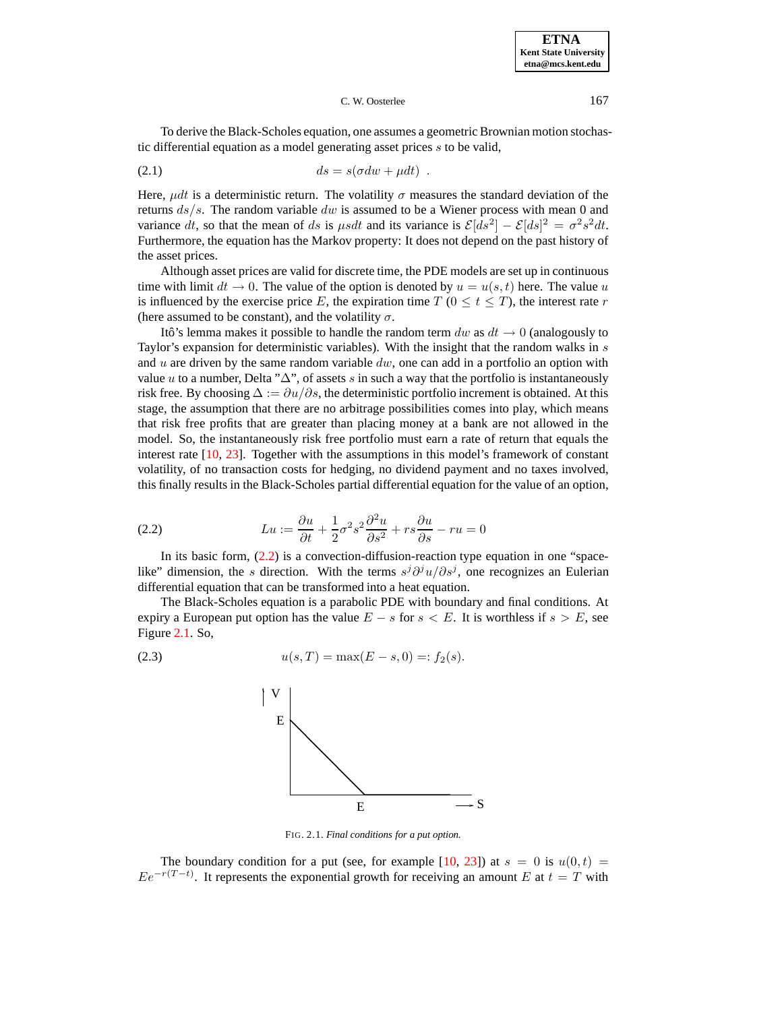To derive the Black-Scholes equation, one assumes a geometric Brownian motion stochastic differential equation as a model generating asset prices s to be valid,

$$
(2.1) \t\t ds = s(\sigma dw + \mu dt) .
$$

Here,  $\mu dt$  is a deterministic return. The volatility  $\sigma$  measures the standard deviation of the returns  $ds/s$ . The random variable dw is assumed to be a Wiener process with mean 0 and variance dt, so that the mean of ds is  $\mu s dt$  and its variance is  $\mathcal{E}[ds^2] - \mathcal{E}[ds]^2 = \sigma^2 s^2 dt$ . Furthermore, the equation has the Markov property: It does not depend on the past history of the asset prices.

Although asset prices are valid for discrete time, the PDE models are set up in continuous time with limit  $dt \to 0$ . The value of the option is denoted by  $u = u(s, t)$  here. The value u is influenced by the exercise price E, the expiration time T ( $0 \le t \le T$ ), the interest rate r (here assumed to be constant), and the volatility  $\sigma$ .

Itô's lemma makes it possible to handle the random term dw as  $dt \rightarrow 0$  (analogously to Taylor's expansion for deterministic variables). With the insight that the random walks in s and  $u$  are driven by the same random variable  $dw$ , one can add in a portfolio an option with value u to a number, Delta " $\Delta$ ", of assets s in such a way that the portfolio is instantaneously risk free. By choosing  $\Delta := \partial u / \partial s$ , the deterministic portfolio increment is obtained. At this stage, the assumption that there are no arbitrage possibilities comes into play, which means that risk free profits that are greater than placing money at a bank are not allowed in the model. So, the instantaneously risk free portfolio must earn a rate of return that equals the interest rate [\[10,](#page-20-8) [23\]](#page-20-0). Together with the assumptions in this model's framework of constant volatility, of no transaction costs for hedging, no dividend payment and no taxes involved, this finally results in the Black-Scholes partial differential equation for the value of an option,

<span id="page-2-0"></span>(2.2) 
$$
Lu := \frac{\partial u}{\partial t} + \frac{1}{2}\sigma^2 s^2 \frac{\partial^2 u}{\partial s^2} + rs \frac{\partial u}{\partial s} - ru = 0
$$

In its basic form, [\(2.2\)](#page-2-0) is a convection-diffusion-reaction type equation in one "spacelike" dimension, the s direction. With the terms  $s^{j}\partial^{j}u/\partial s^{j}$ , one recognizes an Eulerian differential equation that can be transformed into a heat equation.

<span id="page-2-2"></span>The Black-Scholes equation is a parabolic PDE with boundary and final conditions. At expiry a European put option has the value  $E - s$  for  $s < E$ . It is worthless if  $s > E$ , see Figure [2.1.](#page-15-0) So,

(2.3) 
$$
u(s,T) = \max(E-s,0) =: f_2(s).
$$



FIG. 2.1. *Final conditions for a put option.*

The boundary condition for a put (see, for example [\[10,](#page-20-8) [23\]](#page-20-0)) at  $s = 0$  is  $u(0, t) =$  $Ee^{-r(T-t)}$ . It represents the exponential growth for receiving an amount E at  $t = T$  with

<span id="page-2-1"></span>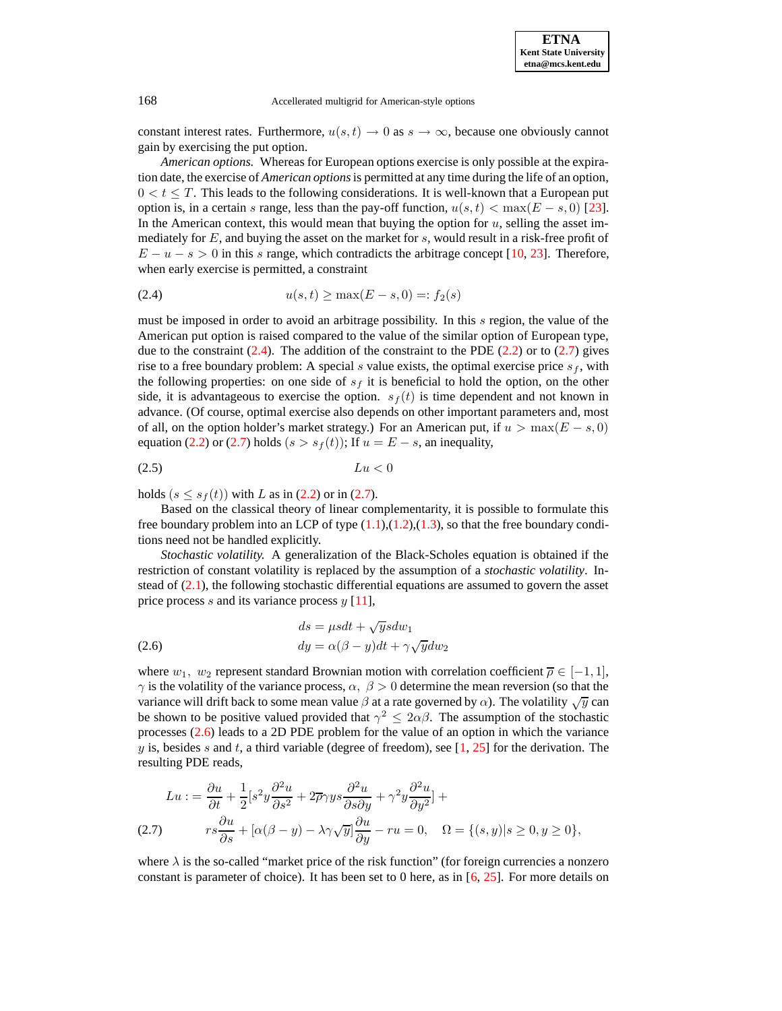constant interest rates. Furthermore,  $u(s,t) \to 0$  as  $s \to \infty$ , because one obviously cannot gain by exercising the put option.

*American options.* Whereas for European options exercise is only possible at the expiration date, the exercise of *American options*is permitted at any time during the life of an option,  $0 < t \leq T$ . This leads to the following considerations. It is well-known that a European put option is, in a certain s range, less than the pay-off function,  $u(s,t) < \max(E - s, 0)$  [\[23\]](#page-20-0). In the American context, this would mean that buying the option for  $u$ , selling the asset immediately for  $E$ , and buying the asset on the market for  $s$ , would result in a risk-free profit of  $E - u - s > 0$  in this s range, which contradicts the arbitrage concept [\[10,](#page-20-8) [23\]](#page-20-0). Therefore, when early exercise is permitted, a constraint

<span id="page-3-0"></span>(2.4) 
$$
u(s,t) \ge \max(E - s, 0) =: f_2(s)
$$

must be imposed in order to avoid an arbitrage possibility. In this s region, the value of the American put option is raised compared to the value of the similar option of European type, due to the constraint  $(2.4)$ . The addition of the constraint to the PDE  $(2.2)$  or to  $(2.7)$  gives rise to a free boundary problem: A special s value exists, the optimal exercise price  $s_f$ , with the following properties: on one side of  $s_f$  it is beneficial to hold the option, on the other side, it is advantageous to exercise the option.  $s_f(t)$  is time dependent and not known in advance. (Of course, optimal exercise also depends on other important parameters and, most of all, on the option holder's market strategy.) For an American put, if  $u > \max(E - s, 0)$ equation [\(2.2\)](#page-2-0) or [\(2.7\)](#page-3-1) holds ( $s > s<sub>f</sub>(t)$ ); If  $u = E - s$ , an inequality,

$$
(2.5) \t\t\t Lu < 0
$$

holds  $(s \leq s_f(t))$  with L as in [\(2.2\)](#page-2-0) or in [\(2.7\)](#page-3-1).

Based on the classical theory of linear complementarity, it is possible to formulate this free boundary problem into an LCP of type  $(1.1),(1.2),(1.3)$  $(1.1),(1.2),(1.3)$  $(1.1),(1.2),(1.3)$  $(1.1),(1.2),(1.3)$  $(1.1),(1.2),(1.3)$ , so that the free boundary conditions need not be handled explicitly.

*Stochastic volatility.* A generalization of the Black-Scholes equation is obtained if the restriction of constant volatility is replaced by the assumption of a *stochastic volatility*. Instead of  $(2.1)$ , the following stochastic differential equations are assumed to govern the asset price process s and its variance process  $y$  [\[11\]](#page-20-9),

<span id="page-3-2"></span>(2.6) 
$$
ds = \mu s dt + \sqrt{y} s dw_1
$$

$$
dy = \alpha(\beta - y) dt + \gamma \sqrt{y} dw_2
$$

where  $w_1, w_2$  represent standard Brownian motion with correlation coefficient  $\overline{\rho} \in [-1, 1]$ ,  $\gamma$  is the volatility of the variance process,  $\alpha$ ,  $\beta > 0$  determine the mean reversion (so that the variance will drift back to some mean value  $\beta$  at a rate governed by  $\alpha$ ). The volatility  $\sqrt{y}$  can be shown to be positive valued provided that  $\gamma^2 \leq 2\alpha\beta$ . The assumption of the stochastic processes [\(2.6\)](#page-3-2) leads to a 2D PDE problem for the value of an option in which the variance y is, besides s and t, a third variable (degree of freedom), see [\[1,](#page-19-3) [25\]](#page-20-3) for the derivation. The resulting PDE reads,

<span id="page-3-1"></span>
$$
Lu := \frac{\partial u}{\partial t} + \frac{1}{2} [s^2 y \frac{\partial^2 u}{\partial s^2} + 2 \overline{\rho} \gamma y s \frac{\partial^2 u}{\partial s \partial y} + \gamma^2 y \frac{\partial^2 u}{\partial y^2}] +
$$
  
(2.7) 
$$
rs \frac{\partial u}{\partial s} + [\alpha(\beta - y) - \lambda \gamma \sqrt{y}] \frac{\partial u}{\partial y} - ru = 0, \quad \Omega = \{(s, y) | s \ge 0, y \ge 0 \},
$$

where  $\lambda$  is the so-called "market price of the risk function" (for foreign currencies a nonzero constant is parameter of choice). It has been set to 0 here, as in  $[6, 25]$  $[6, 25]$  $[6, 25]$ . For more details on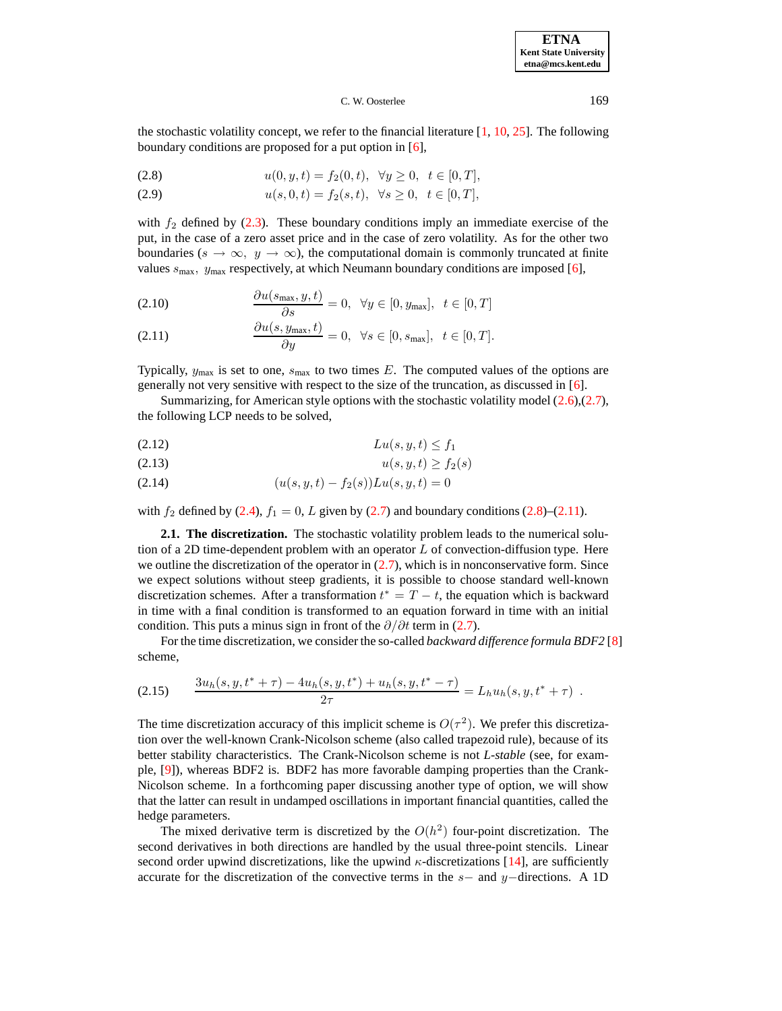**ETNA Kent State University etna@mcs.kent.edu**

### C. W. Oosterlee 169

the stochastic volatility concept, we refer to the financial literature  $[1, 10, 25]$  $[1, 10, 25]$  $[1, 10, 25]$  $[1, 10, 25]$  $[1, 10, 25]$ . The following boundary conditions are proposed for a put option in [\[6\]](#page-20-2),

<span id="page-4-0"></span>(2.8) 
$$
u(0, y, t) = f_2(0, t), \quad \forall y \ge 0, \quad t \in [0, T],
$$

(2.9) 
$$
u(s, 0, t) = f_2(s, t), \ \forall s \ge 0, \ t \in [0, T],
$$

with  $f_2$  defined by [\(2.3\)](#page-2-2). These boundary conditions imply an immediate exercise of the put, in the case of a zero asset price and in the case of zero volatility. As for the other two boundaries ( $s \to \infty$ ,  $y \to \infty$ ), the computational domain is commonly truncated at finite values  $s_{\text{max}}$ ,  $y_{\text{max}}$  respectively, at which Neumann boundary conditions are imposed [\[6\]](#page-20-2),

<span id="page-4-1"></span>(2.10) 
$$
\frac{\partial u(s_{\max}, y, t)}{\partial s} = 0, \quad \forall y \in [0, y_{\max}], \quad t \in [0, T]
$$

(2.11) 
$$
\frac{\partial u(s, y_{\max}, t)}{\partial y} = 0, \ \forall s \in [0, s_{\max}], \ t \in [0, T].
$$

Typically,  $y_{\text{max}}$  is set to one,  $s_{\text{max}}$  to two times E. The computed values of the options are generally not very sensitive with respect to the size of the truncation, as discussed in [\[6\]](#page-20-2).

Summarizing, for American style options with the stochastic volatility model [\(2.6\)](#page-3-2),[\(2.7\)](#page-3-1), the following LCP needs to be solved,

<span id="page-4-2"></span>
$$
(2.12) \t\t\t Lu(s, y, t) \le f_1
$$

$$
(2.13) \t\t u(s, y, t) \ge f_2(s)
$$

(2.14) 
$$
(u(s, y, t) - f_2(s))Lu(s, y, t) = 0
$$

with  $f_2$  defined by [\(2.4\)](#page-3-0),  $f_1 = 0$ , L given by [\(2.7\)](#page-3-1) and boundary conditions [\(2.8\)](#page-4-0)–[\(2.11\)](#page-4-1).

**2.1. The discretization.** The stochastic volatility problem leads to the numerical solution of a 2D time-dependent problem with an operator  $L$  of convection-diffusion type. Here we outline the discretization of the operator in  $(2.7)$ , which is in nonconservative form. Since we expect solutions without steep gradients, it is possible to choose standard well-known discretization schemes. After a transformation  $t^* = T - t$ , the equation which is backward in time with a final condition is transformed to an equation forward in time with an initial condition. This puts a minus sign in front of the  $\partial/\partial t$  term in [\(2.7\)](#page-3-1).

For the time discretization, we consider the so-called *backward difference formula BDF2* [\[8\]](#page-20-10) scheme,

$$
(2.15) \qquad \frac{3u_h(s, y, t^* + \tau) - 4u_h(s, y, t^*) + u_h(s, y, t^* - \tau)}{2\tau} = L_h u_h(s, y, t^* + \tau) \; .
$$

The time discretization accuracy of this implicit scheme is  $O(\tau^2)$ . We prefer this discretization over the well-known Crank-Nicolson scheme (also called trapezoid rule), because of its better stability characteristics. The Crank-Nicolson scheme is not *L-stable* (see, for example, [\[9\]](#page-20-11)), whereas BDF2 is. BDF2 has more favorable damping properties than the Crank-Nicolson scheme. In a forthcoming paper discussing another type of option, we will show that the latter can result in undamped oscillations in important financial quantities, called the hedge parameters.

The mixed derivative term is discretized by the  $O(h^2)$  four-point discretization. The second derivatives in both directions are handled by the usual three-point stencils. Linear second order upwind discretizations, like the upwind  $\kappa$ -discretizations [\[14\]](#page-20-12), are sufficiently accurate for the discretization of the convective terms in the  $s-$  and  $y-$ directions. A 1D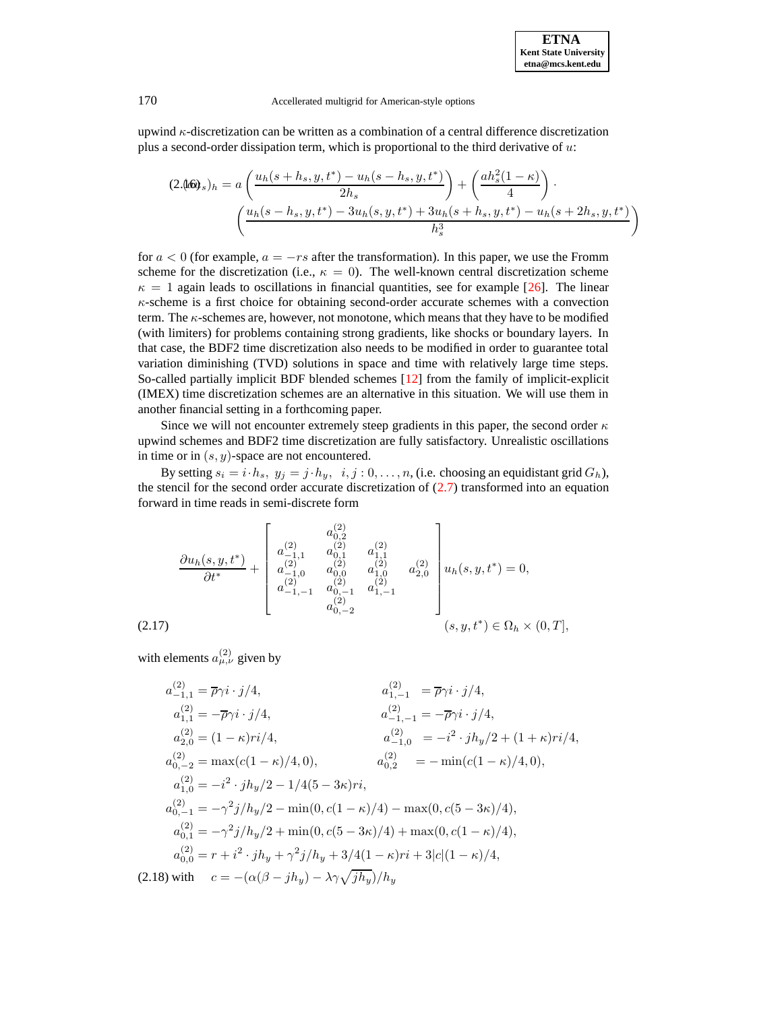upwind  $\kappa$ -discretization can be written as a combination of a central difference discretization plus a second-order dissipation term, which is proportional to the third derivative of  $u$ :

$$
(2.460)_{s})_{h} = a \left( \frac{u_{h}(s+h_{s}, y, t^{*}) - u_{h}(s-h_{s}, y, t^{*})}{2h_{s}} \right) + \left( \frac{ah_{s}^{2}(1-\kappa)}{4} \right) \cdot \left( \frac{u_{h}(s-h_{s}, y, t^{*}) - 3u_{h}(s, y, t^{*}) + 3u_{h}(s+h_{s}, y, t^{*}) - u_{h}(s+2h_{s}, y, t^{*})}{h_{s}^{3}} \right)
$$

for  $a < 0$  (for example,  $a = -rs$  after the transformation). In this paper, we use the Fromm scheme for the discretization (i.e.,  $\kappa = 0$ ). The well-known central discretization scheme  $\kappa = 1$  again leads to oscillations in financial quantities, see for example [\[26\]](#page-20-13). The linear  $\kappa$ -scheme is a first choice for obtaining second-order accurate schemes with a convection term. The  $\kappa$ -schemes are, however, not monotone, which means that they have to be modified (with limiters) for problems containing strong gradients, like shocks or boundary layers. In that case, the BDF2 time discretization also needs to be modified in order to guarantee total variation diminishing (TVD) solutions in space and time with relatively large time steps. So-called partially implicit BDF blended schemes [\[12\]](#page-20-14) from the family of implicit-explicit (IMEX) time discretization schemes are an alternative in this situation. We will use them in another financial setting in a forthcoming paper.

Since we will not encounter extremely steep gradients in this paper, the second order  $\kappa$ upwind schemes and BDF2 time discretization are fully satisfactory. Unrealistic oscillations in time or in  $(s, y)$ -space are not encountered.

By setting  $s_i = i \cdot h_s$ ,  $y_j = j \cdot h_y$ ,  $i, j : 0, \ldots, n$ , (i.e. choosing an equidistant grid  $G_h$ ), the stencil for the second order accurate discretization of  $(2.7)$  transformed into an equation forward in time reads in semi-discrete form

<span id="page-5-0"></span>
$$
\frac{\partial u_h(s, y, t^*)}{\partial t^*} + \begin{bmatrix} a_{0,1}^{(2)} & a_{0,2}^{(2)} & \\ a_{-1,1}^{(2)} & a_{0,1}^{(2)} & a_{1,1}^{(2)} & \\ a_{-1,0}^{(2)} & a_{0,0}^{(2)} & a_{1,0}^{(2)} & \\ a_{-1,-1}^{(2)} & a_{0,-1}^{(2)} & a_{1,-1}^{(2)} & \\ a_{0,-2}^{(2)} & & \\ a_{0,-2}^{(2)} & & \\ \end{bmatrix} u_h(s, y, t^*) = 0,
$$
\n
$$
(2.17)
$$

with elements  $a_{\mu,\nu}^{(2)}$  given by

<span id="page-5-1"></span>
$$
a_{-1,1}^{(2)} = \overline{\rho}\gamma i \cdot j/4,
$$
  
\n
$$
a_{1,1}^{(2)} = -\overline{\rho}\gamma i \cdot j/4,
$$
  
\n
$$
a_{2,0}^{(2)} = (1 - \kappa)ri/4,
$$
  
\n
$$
a_{0,-2}^{(2)} = \max(c(1 - \kappa)/4, 0),
$$
  
\n
$$
a_{1,0}^{(2)} = -i^2 \cdot jh_y/2 + (1 + \kappa)ri/4,
$$
  
\n
$$
a_{0,-2}^{(2)} = \max(c(1 - \kappa)/4, 0),
$$
  
\n
$$
a_{1,0}^{(2)} = -i^2 \cdot jh_y/2 - 1/4(5 - 3\kappa)ri,
$$
  
\n
$$
a_{0,-1}^{(2)} = -\gamma^2 j/h_y/2 - \min(0, c(1 - \kappa)/4) - \max(0, c(5 - 3\kappa)/4),
$$
  
\n
$$
a_{0,1}^{(2)} = -\gamma^2 j/h_y/2 + \min(0, c(5 - 3\kappa)/4) + \max(0, c(1 - \kappa)/4),
$$
  
\n
$$
a_{0,0}^{(2)} = r + i^2 \cdot jh_y + \gamma^2 j/h_y + 3/4(1 - \kappa)ri + 3|c|(1 - \kappa)/4,
$$
  
\n(2.18) with  $c = -(\alpha(\beta - jh_y) - \lambda\gamma\sqrt{jh_y}/h_y$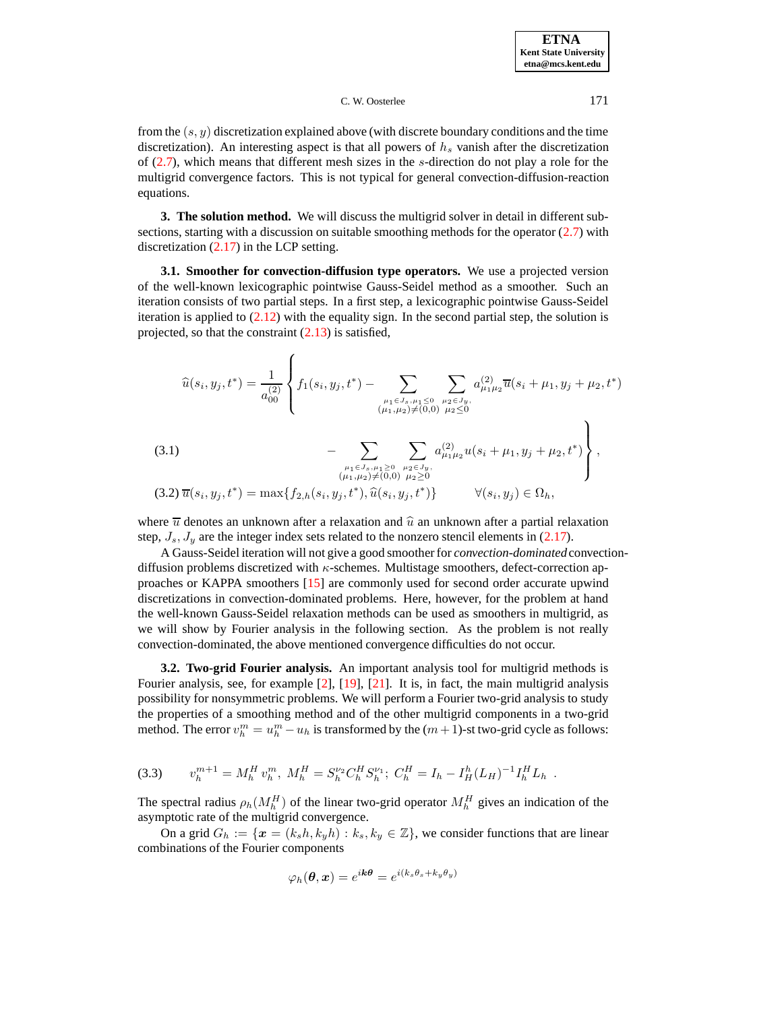from the  $(s, y)$  discretization explained above (with discrete boundary conditions and the time discretization). An interesting aspect is that all powers of  $h<sub>s</sub>$  vanish after the discretization of  $(2.7)$ , which means that different mesh sizes in the s-direction do not play a role for the multigrid convergence factors. This is not typical for general convection-diffusion-reaction equations.

<span id="page-6-1"></span>**3. The solution method.** We will discuss the multigrid solver in detail in different subsections, starting with a discussion on suitable smoothing methods for the operator [\(2.7\)](#page-3-1) with discretization  $(2.17)$  in the LCP setting.

**3.1. Smoother for convection-diffusion type operators.** We use a projected version of the well-known lexicographic pointwise Gauss-Seidel method as a smoother. Such an iteration consists of two partial steps. In a first step, a lexicographic pointwise Gauss-Seidel iteration is applied to  $(2.12)$  with the equality sign. In the second partial step, the solution is projected, so that the constraint [\(2.13\)](#page-4-2) is satisfied,

$$
\widehat{u}(s_i, y_j, t^*) = \frac{1}{a_{00}^{(2)}} \left\{ f_1(s_i, y_j, t^*) - \sum_{\substack{\mu_1 \in J_s, \mu_1 \le 0 \\ (\mu_1, \mu_2) \neq (0,0)}} \sum_{\substack{\mu_2 \in J_y, \\ \mu_2 \le 0}} a_{\mu_1 \mu_2}^{(2)} \overline{u}(s_i + \mu_1, y_j + \mu_2, t^*) \right\}
$$

<span id="page-6-3"></span>(3.1) 
$$
- \sum_{\substack{\mu_1 \in J_s, \mu_1 \ge 0 \\ (\mu_1, \mu_2) \ne (0,0)}} \sum_{\substack{\mu_2 \in J_y, \\ \mu_2 \ge 0 \\ \mu_3 \ge 0}} a_{\mu_1 \mu_2}^{(2)} u(s_i + \mu_1, y_j + \mu_2, t^*)
$$
,  
(3.2)  $\overline{u}(s_i, y_j, t^*) = \max\{f_{2,h}(s_i, y_j, t^*), \widehat{u}(s_i, y_j, t^*)\} \qquad \forall (s_i, y_j) \in \Omega_h,$ 

where  $\overline{u}$  denotes an unknown after a relaxation and  $\hat{u}$  an unknown after a partial relaxation step,  $J_s$ ,  $J_y$  are the integer index sets related to the nonzero stencil elements in [\(2.17\)](#page-5-0).

A Gauss-Seidel iteration will not give a good smoother for *convection-dominated* convectiondiffusion problems discretized with  $\kappa$ -schemes. Multistage smoothers, defect-correction approaches or KAPPA smoothers [\[15\]](#page-20-15) are commonly used for second order accurate upwind discretizations in convection-dominated problems. Here, however, for the problem at hand the well-known Gauss-Seidel relaxation methods can be used as smoothers in multigrid, as we will show by Fourier analysis in the following section. As the problem is not really convection-dominated, the above mentioned convergence difficulties do not occur.

<span id="page-6-0"></span>**3.2. Two-grid Fourier analysis.** An important analysis tool for multigrid methods is Fourier analysis, see, for example [\[2\]](#page-19-1), [\[19\]](#page-20-4), [\[21\]](#page-20-16). It is, in fact, the main multigrid analysis possibility for nonsymmetric problems. We will perform a Fourier two-grid analysis to study the properties of a smoothing method and of the other multigrid components in a two-grid method. The error  $v_h^m = u_h^m - u_h$  is transformed by the  $(m+1)$ -st two-grid cycle as follows:

<span id="page-6-2"></span>
$$
(3.3) \t v_h^{m+1} = M_h^H v_h^m, \; M_h^H = S_h^{\nu_2} C_h^H S_h^{\nu_1}; \; C_h^H = I_h - I_H^h (L_H)^{-1} I_h^H L_h \; .
$$

The spectral radius  $\rho_h(M_h^H)$  of the linear two-grid operator  $M_h^H$  gives an indication of the asymptotic rate of the multigrid convergence.

On a grid  $G_h := \{x = (k_s h, k_y h) : k_s, k_y \in \mathbb{Z}\}\)$ , we consider functions that are linear combinations of the Fourier components

$$
\varphi_h(\boldsymbol{\theta}, \boldsymbol{x}) = e^{i\boldsymbol{k}\boldsymbol{\theta}} = e^{i(k_s\theta_s + k_y\theta_y)}
$$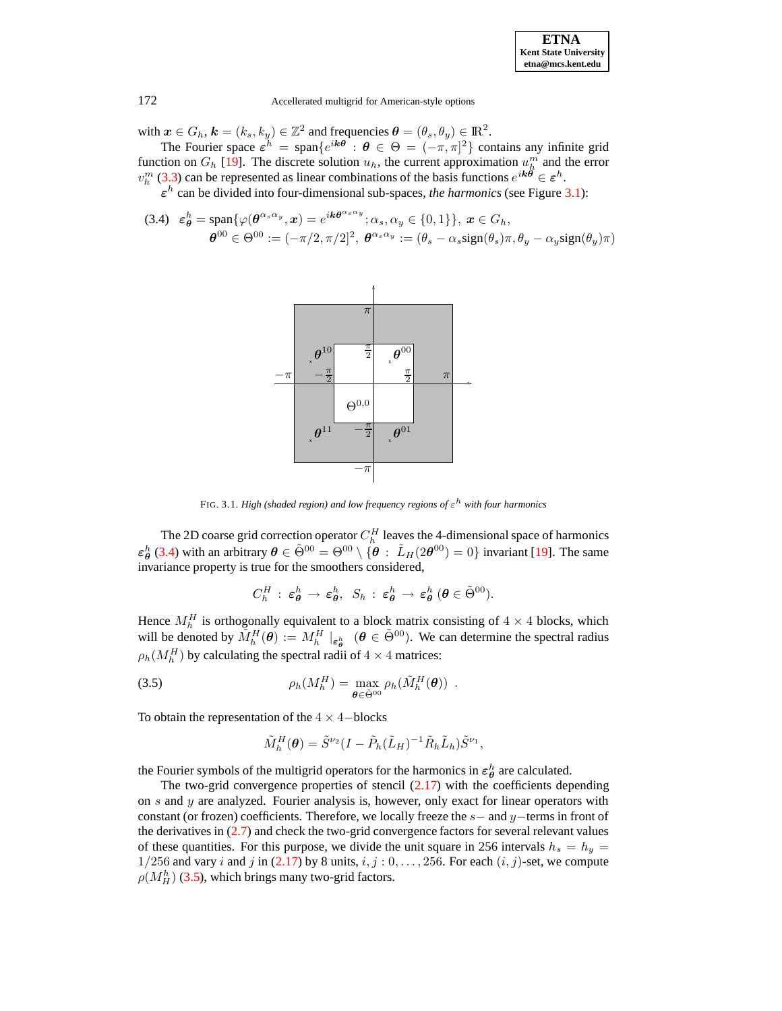with  $\mathbf{x} \in G_h$ ,  $\mathbf{k} = (k_s, k_y) \in \mathbb{Z}^2$  and frequencies  $\boldsymbol{\theta} = (\theta_s, \theta_y) \in \mathbb{R}^2$ .

The Fourier space  $\varepsilon^h$  = span $\{e^{ik\theta}: \theta \in \Theta = (-\pi, \pi]^2\}$  contains any infinite grid function on  $G_h$  [\[19\]](#page-20-4). The discrete solution  $u_h$ , the current approximation  $u_h^m$  and the error  $v_h^m$  [\(3.3\)](#page-6-2) can be represented as linear combinations of the basis functions  $e^{ik\theta} \in \varepsilon^h$ .

 $\varepsilon$ <sup>h</sup> can be divided into four-dimensional sub-spaces, *the harmonics* (see Figure [3.1\)](#page-15-0):

<span id="page-7-0"></span>
$$
\begin{aligned} \text{(3.4)} \quad &\varepsilon_{\theta}^{h} = \text{span}\{\varphi(\theta^{\alpha_{s}\alpha_{y}}, x) = e^{ik\theta^{\alpha_{s}\alpha_{y}}}; \alpha_{s}, \alpha_{y} \in \{0, 1\}\}, \ x \in G_{h}, \\ &\theta^{00} \in \Theta^{00} := (-\pi/2, \pi/2]^2, \ \theta^{\alpha_{s}\alpha_{y}} := (\theta_{s} - \alpha_{s}\text{sign}(\theta_{s})\pi, \theta_{y} - \alpha_{y}\text{sign}(\theta_{y})\pi) \end{aligned}
$$



FIG. 3.1. *High (shaded region) and low frequency regions of* ε <sup>h</sup> *with four harmonics*

The 2D coarse grid correction operator  $C_h^H$  leaves the 4-dimensional space of harmonics  $\varepsilon_{\theta}^{h}$  [\(3.4\)](#page-7-0) with an arbitrary  $\theta \in \tilde{\Theta}^{00} = \Theta^{00} \setminus \{\theta : \tilde{L}_{H}(2\theta^{00}) = 0\}$  invariant [\[19\]](#page-20-4). The same invariance property is true for the smoothers considered,

<span id="page-7-1"></span>
$$
C_h^H : \, \varepsilon_{\boldsymbol{\theta}}^h \, \rightarrow \, \varepsilon_{\boldsymbol{\theta}}^h, \ \ S_h : \, \varepsilon_{\boldsymbol{\theta}}^h \, \rightarrow \, \varepsilon_{\boldsymbol{\theta}}^h \, (\boldsymbol{\theta} \in \tilde{\Theta}^{00}).
$$

Hence  $M_h^H$  is orthogonally equivalent to a block matrix consisting of  $4 \times 4$  blocks, which will be denoted by  $\tilde{M}_h^H(\theta) := M_h^H|_{\epsilon_\theta^h}$   $(\theta \in \tilde{\Theta}^{00})$ . We can determine the spectral radius  $\rho_h(M_h^H)$  by calculating the spectral radii of  $4 \times 4$  matrices:

(3.5) 
$$
\rho_h(M_h^H) = \max_{\boldsymbol{\theta} \in \tilde{\Theta}^{00}} \rho_h(\tilde{M}_h^H(\boldsymbol{\theta})) .
$$

To obtain the representation of the  $4 \times 4$  -blocks

$$
\tilde{M}_h^H(\boldsymbol{\theta}) = \tilde{S}^{\nu_2} (I - \tilde{P}_h(\tilde{L}_H)^{-1} \tilde{R}_h \tilde{L}_h) \tilde{S}^{\nu_1},
$$

the Fourier symbols of the multigrid operators for the harmonics in  $\varepsilon_{\theta}^{h}$  are calculated.

The two-grid convergence properties of stencil  $(2.17)$  with the coefficients depending on s and y are analyzed. Fourier analysis is, however, only exact for linear operators with constant (or frozen) coefficients. Therefore, we locally freeze the  $s-$  and  $y-$ terms in front of the derivatives in [\(2.7\)](#page-3-1) and check the two-grid convergence factors for several relevant values of these quantities. For this purpose, we divide the unit square in 256 intervals  $h_s = h_y =$ 1/256 and vary i and j in [\(2.17\)](#page-5-0) by 8 units,  $i, j : 0, \ldots, 256$ . For each  $(i, j)$ -set, we compute  $\rho(M_H^h)$  [\(3.5\)](#page-7-1), which brings many two-grid factors.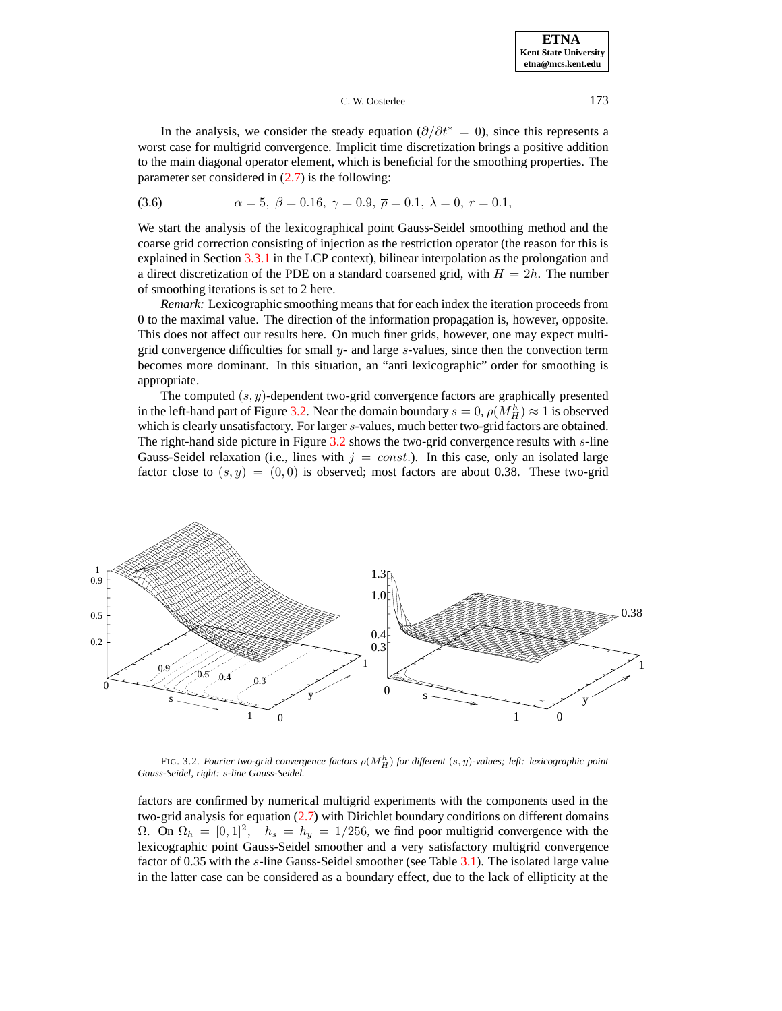<span id="page-8-0"></span>In the analysis, we consider the steady equation  $(\partial/\partial t^* = 0)$ , since this represents a worst case for multigrid convergence. Implicit time discretization brings a positive addition to the main diagonal operator element, which is beneficial for the smoothing properties. The parameter set considered in  $(2.7)$  is the following:

(3.6) 
$$
\alpha = 5, \ \beta = 0.16, \ \gamma = 0.9, \ \overline{\rho} = 0.1, \ \lambda = 0, \ r = 0.1,
$$

We start the analysis of the lexicographical point Gauss-Seidel smoothing method and the coarse grid correction consisting of injection as the restriction operator (the reason for this is explained in Section [3.3.1](#page-11-0) in the LCP context), bilinear interpolation as the prolongation and a direct discretization of the PDE on a standard coarsened grid, with  $H = 2h$ . The number of smoothing iterations is set to 2 here.

*Remark:* Lexicographic smoothing means that for each index the iteration proceeds from 0 to the maximal value. The direction of the information propagation is, however, opposite. This does not affect our results here. On much finer grids, however, one may expect multigrid convergence difficulties for small  $y$ - and large s-values, since then the convection term becomes more dominant. In this situation, an "anti lexicographic" order for smoothing is appropriate.

The computed  $(s, y)$ -dependent two-grid convergence factors are graphically presented in the left-hand part of Figure [3.2.](#page-16-0) Near the domain boundary  $s = 0$ ,  $\rho(M_H^h) \approx 1$  is observed which is clearly unsatisfactory. For larger s-values, much better two-grid factors are obtained. The right-hand side picture in Figure  $3.2$  shows the two-grid convergence results with  $s$ -line Gauss-Seidel relaxation (i.e., lines with  $j = const.$ ). In this case, only an isolated large factor close to  $(s, y) = (0, 0)$  is observed; most factors are about 0.38. These two-grid



FIG. 3.2. *Fourier two-grid convergence factors* ρ(M<sup>h</sup> <sup>H</sup>) *for different* (s, y)*-values; left: lexicographic point Gauss-Seidel, right:* s*-line Gauss-Seidel.*

factors are confirmed by numerical multigrid experiments with the components used in the two-grid analysis for equation [\(2.7\)](#page-3-1) with Dirichlet boundary conditions on different domains Ω. On  $\Omega_h = [0, 1]^2$ ,  $h_s = h_y = 1/256$ , we find poor multigrid convergence with the lexicographic point Gauss-Seidel smoother and a very satisfactory multigrid convergence factor of 0.35 with the s-line Gauss-Seidel smoother (see Table [3.1\)](#page-15-1). The isolated large value in the latter case can be considered as a boundary effect, due to the lack of ellipticity at the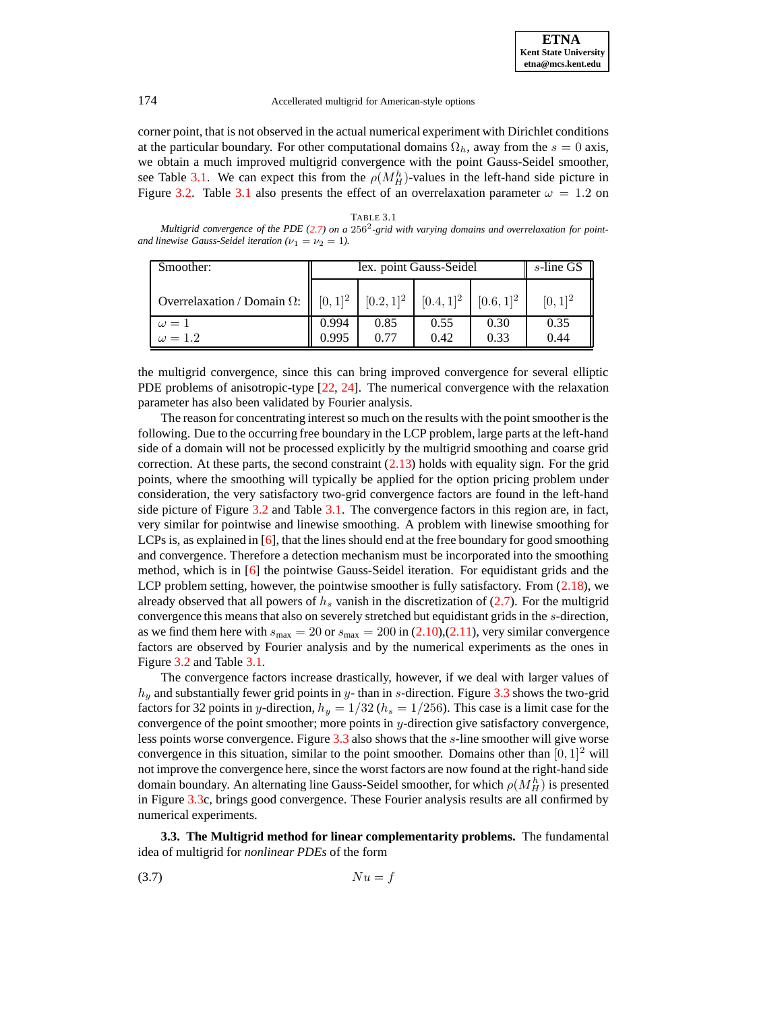corner point, that is not observed in the actual numerical experiment with Dirichlet conditions at the particular boundary. For other computational domains  $\Omega_h$ , away from the  $s = 0$  axis, we obtain a much improved multigrid convergence with the point Gauss-Seidel smoother, see Table [3.1.](#page-15-1) We can expect this from the  $\rho(M_H^h)$ -values in the left-hand side picture in Figure [3.2.](#page-16-0) Table [3.1](#page-15-1) also presents the effect of an overrelaxation parameter  $\omega = 1.2$  on

TABLE 3.1 *Multigrid convergence of the PDE [\(2.7\)](#page-3-1) on a* 256<sup>2</sup> *-grid with varying domains and overrelaxation for pointand linewise Gauss-Seidel iteration*  $(\nu_1 = \nu_2 = 1)$ .

| Smoother:                          | lex. point Gauss-Seidel | s-line GS |                                                 |                |              |
|------------------------------------|-------------------------|-----------|-------------------------------------------------|----------------|--------------|
| Overrelaxation / Domain $\Omega$ : | $[0, 1]^2$              |           | $[0.2, 1]$ <sup>2</sup> $[0.4, 1]$ <sup>2</sup> | $[0.6, 1]^{2}$ | $[0, 1]^{2}$ |
| $\omega=1$                         | 0.994                   | 0.85      | 0.55                                            | 0.30           | 0.35         |
| $\omega = 1.2$                     | 0.995                   | 0.77      | 0.42                                            | 0.33           | 0.44         |

the multigrid convergence, since this can bring improved convergence for several elliptic PDE problems of anisotropic-type [\[22,](#page-20-17) [24\]](#page-20-18). The numerical convergence with the relaxation parameter has also been validated by Fourier analysis.

The reason for concentrating interest so much on the results with the point smoother is the following. Due to the occurring free boundary in the LCP problem, large parts at the left-hand side of a domain will not be processed explicitly by the multigrid smoothing and coarse grid correction. At these parts, the second constraint  $(2.13)$  holds with equality sign. For the grid points, where the smoothing will typically be applied for the option pricing problem under consideration, the very satisfactory two-grid convergence factors are found in the left-hand side picture of Figure [3.2](#page-16-0) and Table [3.1.](#page-15-1) The convergence factors in this region are, in fact, very similar for pointwise and linewise smoothing. A problem with linewise smoothing for LCPs is, as explained in [\[6\]](#page-20-2), that the lines should end at the free boundary for good smoothing and convergence. Therefore a detection mechanism must be incorporated into the smoothing method, which is in [\[6\]](#page-20-2) the pointwise Gauss-Seidel iteration. For equidistant grids and the LCP problem setting, however, the pointwise smoother is fully satisfactory. From  $(2.18)$ , we already observed that all powers of  $h<sub>s</sub>$  vanish in the discretization of [\(2.7\)](#page-3-1). For the multigrid convergence this means that also on severely stretched but equidistant grids in the s-direction, as we find them here with  $s_{\text{max}} = 20$  or  $s_{\text{max}} = 200$  in [\(2.10\)](#page-4-1),[\(2.11\)](#page-4-1), very similar convergence factors are observed by Fourier analysis and by the numerical experiments as the ones in Figure [3.2](#page-16-0) and Table [3.1.](#page-15-1)

The convergence factors increase drastically, however, if we deal with larger values of  $h_y$  and substantially fewer grid points in y- than in s-direction. Figure [3.3](#page-17-0) shows the two-grid factors for 32 points in y-direction,  $h_y = 1/32$  ( $h_s = 1/256$ ). This case is a limit case for the convergence of the point smoother; more points in y-direction give satisfactory convergence, less points worse convergence. Figure [3.3](#page-17-0) also shows that the s-line smoother will give worse convergence in this situation, similar to the point smoother. Domains other than  $[0, 1]^2$  will not improve the convergence here, since the worst factors are now found at the right-hand side domain boundary. An alternating line Gauss-Seidel smoother, for which  $\rho(M_H^h)$  is presented in Figure [3.3c](#page-17-0), brings good convergence. These Fourier analysis results are all confirmed by numerical experiments.

**3.3. The Multigrid method for linear complementarity problems.** The fundamental idea of multigrid for *nonlinear PDEs* of the form

$$
(3.7) \t N u = f
$$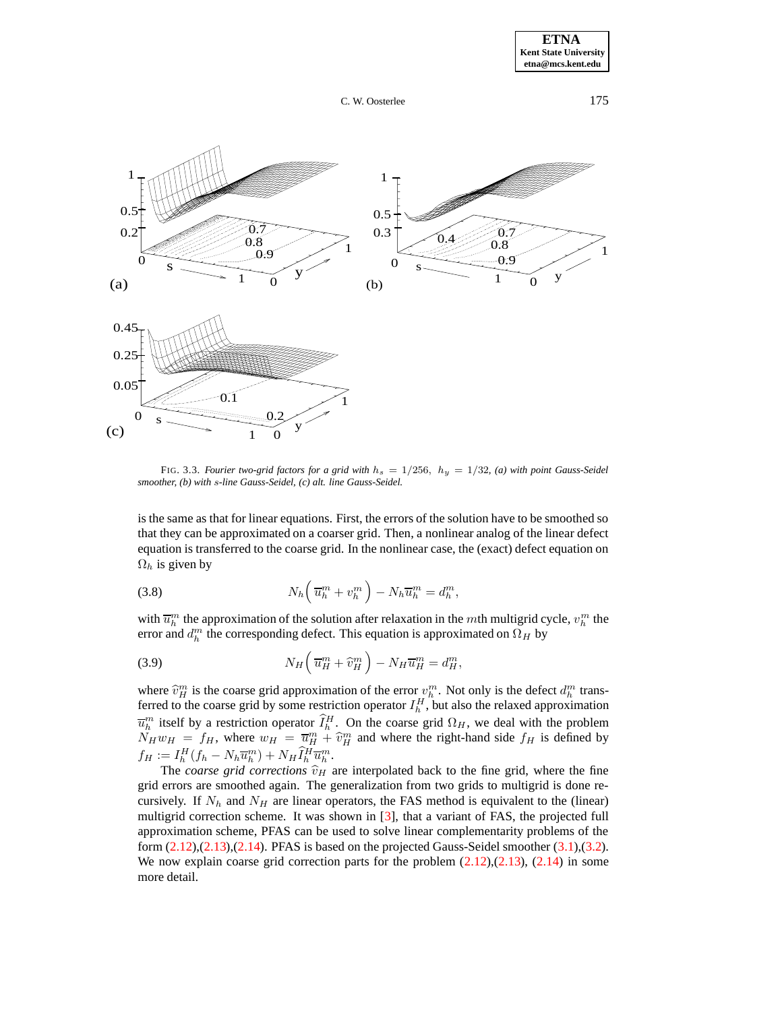

FIG. 3.3. *Fourier two-grid factors for a grid with*  $h_s = 1/256$ ,  $h_y = 1/32$ , (a) with point Gauss-Seidel *smoother, (b) with* s*-line Gauss-Seidel, (c) alt. line Gauss-Seidel.*

is the same as that for linear equations. First, the errors of the solution have to be smoothed so that they can be approximated on a coarser grid. Then, a nonlinear analog of the linear defect equation is transferred to the coarse grid. In the nonlinear case, the (exact) defect equation on  $\Omega_h$  is given by

(3.8) 
$$
N_h\left(\overline{u}_h^m + v_h^m\right) - N_h \overline{u}_h^m = d_h^m,
$$

with  $\overline{u}_h^m$  the approximation of the solution after relaxation in the mth multigrid cycle,  $v_h^m$  the error and  $d_h^m$  the corresponding defect. This equation is approximated on  $\Omega_H$  by

(3.9) 
$$
N_H \left( \overline{u}_H^m + \widehat{v}_H^m \right) - N_H \overline{u}_H^m = d_H^m,
$$

where  $\hat{v}_h^m$  is the coarse grid approximation of the error  $v_h^m$ . Not only is the defect  $d_h^m$  transferred to the coarse grid by some restriction operator  $I_h^H$ , but also the relaxed approximation  $\overline{u}_h^m$  itself by a restriction operator  $\hat{I}_h^H$ . On the coarse grid  $\Omega_H$ , we deal with the problem  $N_H w_H = f_H$ , where  $w_H = \overline{u}_H^m + \hat{v}_H^m$  and where the right-hand side  $f_H$  is defined by  $f_H := I_h^H(f_h - N_h \overline{u}_h^m) + N_H \widetilde{I}_h^H \overline{u}_h^m.$ 

The *coarse* grid *corrections*  $\hat{v}_H$  are interpolated back to the fine grid, where the fine grid errors are smoothed again. The generalization from two grids to multigrid is done recursively. If  $N_h$  and  $N_H$  are linear operators, the FAS method is equivalent to the (linear) multigrid correction scheme. It was shown in [\[3\]](#page-19-0), that a variant of FAS, the projected full approximation scheme, PFAS can be used to solve linear complementarity problems of the form [\(2.12\)](#page-4-2),[\(2.13\)](#page-4-2),[\(2.14\)](#page-4-2). PFAS is based on the projected Gauss-Seidel smoother [\(3.1\)](#page-6-3),[\(3.2\)](#page-6-3). We now explain coarse grid correction parts for the problem  $(2.12),(2.13),(2.14)$  $(2.12),(2.13),(2.14)$  $(2.12),(2.13),(2.14)$  $(2.12),(2.13),(2.14)$  $(2.12),(2.13),(2.14)$  in some more detail.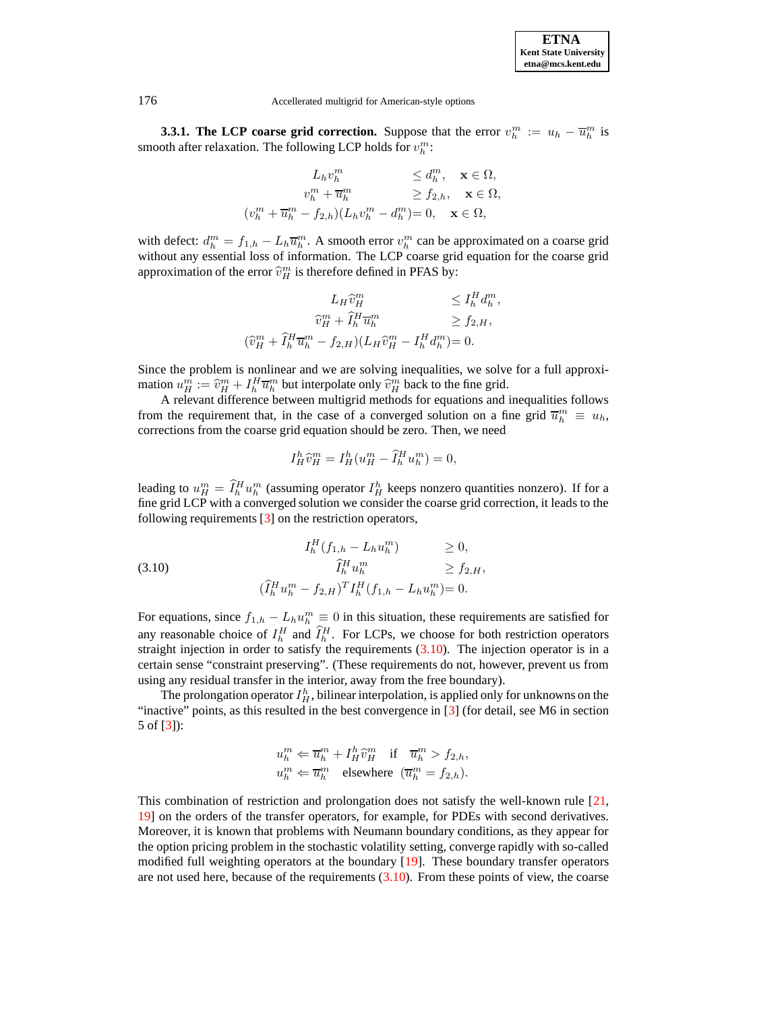

**3.3.1. The LCP coarse grid correction.** Suppose that the error  $v_h^m := u_h - \overline{u}_h^m$  is smooth after relaxation. The following LCP holds for  $v_h^m$ :

$$
L_h v_h^m \leq d_h^m, \quad \mathbf{x} \in \Omega,
$$
  
\n
$$
v_h^m + \overline{u}_h^m \geq f_{2,h}, \quad \mathbf{x} \in \Omega,
$$
  
\n
$$
(v_h^m + \overline{u}_h^m - f_{2,h})(L_h v_h^m - d_h^m) = 0, \quad \mathbf{x} \in \Omega,
$$

with defect:  $d_h^m = f_{1,h} - L_h \overline{u}_h^m$ . A smooth error  $v_h^m$  can be approximated on a coarse grid without any essential loss of information. The LCP coarse grid equation for the coarse grid approximation of the error  $\widehat{v}_H^m$  is therefore defined in PFAS by:

$$
L_H \widehat{v}_H^m \leq I_h^H d_h^m,
$$
  
\n
$$
\widehat{v}_H^m + \widehat{I}_h^H \overline{u}_h^m \geq f_{2,H},
$$
  
\n
$$
(\widehat{v}_H^m + \widehat{I}_h^H \overline{u}_h^m - f_{2,H})(L_H \widehat{v}_H^m - I_h^H d_h^m) = 0.
$$

Since the problem is nonlinear and we are solving inequalities, we solve for a full approximation  $u_m^m := \hat{v}_H^m + I_h^H \overline{u}_h^m$  but interpolate only  $\hat{v}_H^m$  back to the fine grid.

A relevant difference between multigrid methods for equations and inequalities follows from the requirement that, in the case of a converged solution on a fine grid  $\overline{u}_h^m \equiv u_h$ , corrections from the coarse grid equation should be zero. Then, we need

$$
I_H^h \widehat{v}_H^m = I_H^h (u_H^m - \widehat{I}_h^H u_h^m) = 0,
$$

leading to  $u_H^m = \tilde{I}_h^H u_h^m$  (assuming operator  $I_H^h$  keeps nonzero quantities nonzero). If for a fine grid LCP with a converged solution we consider the coarse grid correction, it leads to the following requirements  $\lceil 3 \rceil$  on the restriction operators,

<span id="page-11-1"></span>(3.10) 
$$
I_h^H(f_{1,h} - L_h u_h^m) \geq 0,
$$

$$
\widehat{I}_h^H u_h^m \geq f_{2,H},
$$

$$
(\widehat{I}_h^H u_h^m - f_{2,H})^T I_h^H(f_{1,h} - L_h u_h^m) = 0.
$$

For equations, since  $f_{1,h} - L_h u_h^m \equiv 0$  in this situation, these requirements are satisfied for any reasonable choice of  $I_h^H$  and  $\hat{I}_h^H$ . For LCPs, we choose for both restriction operators straight injection in order to satisfy the requirements  $(3.10)$ . The injection operator is in a certain sense "constraint preserving". (These requirements do not, however, prevent us from using any residual transfer in the interior, away from the free boundary).

The prolongation operator  $I_H^h$ , bilinear interpolation, is applied only for unknowns on the "inactive" points, as this resulted in the best convergence in [\[3\]](#page-19-0) (for detail, see M6 in section 5 of [\[3\]](#page-19-0)):

$$
\begin{aligned} u_h^m &\Leftarrow \overline{u}_h^m + I_H^h \widehat{v}_H^m \quad \text{if} \quad \overline{u}_h^m > f_{2,h}, \\ u_h^m &\Leftarrow \overline{u}_h^m \quad \text{elsewhere} \quad (\overline{u}_h^m = f_{2,h}). \end{aligned}
$$

This combination of restriction and prolongation does not satisfy the well-known rule [\[21,](#page-20-16) [19\]](#page-20-4) on the orders of the transfer operators, for example, for PDEs with second derivatives. Moreover, it is known that problems with Neumann boundary conditions, as they appear for the option pricing problem in the stochastic volatility setting, converge rapidly with so-called modified full weighting operators at the boundary [\[19\]](#page-20-4). These boundary transfer operators are not used here, because of the requirements  $(3.10)$ . From these points of view, the coarse

<span id="page-11-0"></span>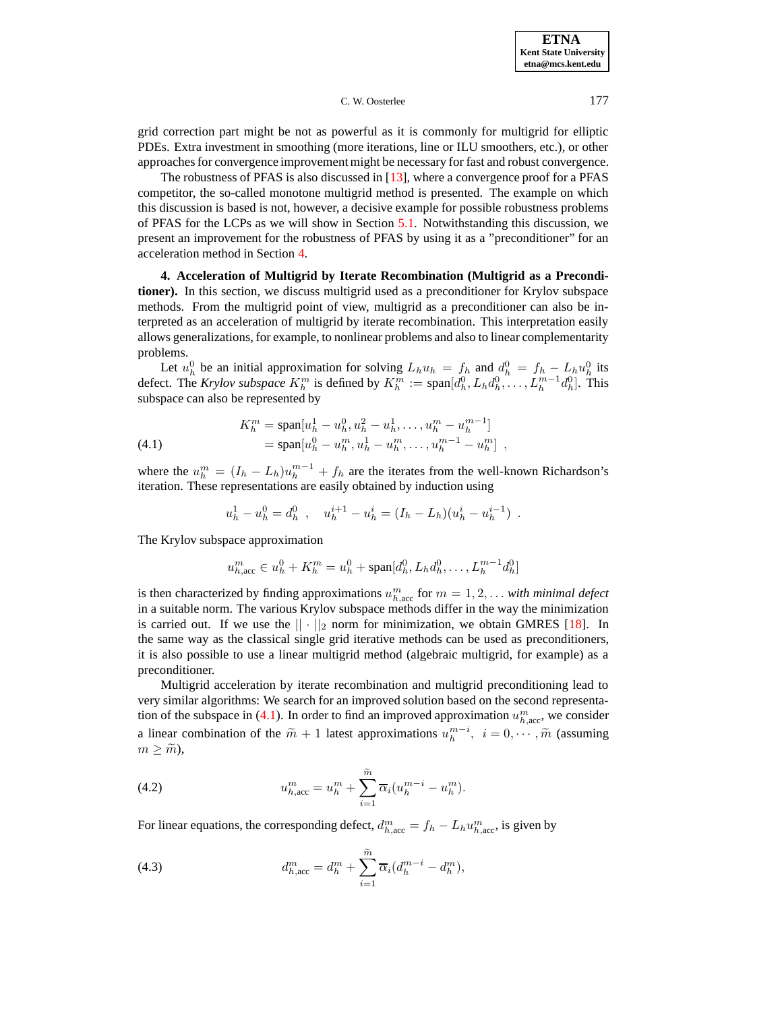**ETNA Kent State University etna@mcs.kent.edu**

C. W. Oosterlee 177

grid correction part might be not as powerful as it is commonly for multigrid for elliptic PDEs. Extra investment in smoothing (more iterations, line or ILU smoothers, etc.), or other approaches for convergence improvement might be necessary for fast and robust convergence.

The robustness of PFAS is also discussed in [\[13\]](#page-20-19), where a convergence proof for a PFAS competitor, the so-called monotone multigrid method is presented. The example on which this discussion is based is not, however, a decisive example for possible robustness problems of PFAS for the LCPs as we will show in Section [5.1.](#page-14-1) Notwithstanding this discussion, we present an improvement for the robustness of PFAS by using it as a "preconditioner" for an acceleration method in Section [4.](#page-12-0)

<span id="page-12-0"></span>**4. Acceleration of Multigrid by Iterate Recombination (Multigrid as a Preconditioner).** In this section, we discuss multigrid used as a preconditioner for Krylov subspace methods. From the multigrid point of view, multigrid as a preconditioner can also be interpreted as an acceleration of multigrid by iterate recombination. This interpretation easily allows generalizations, for example, to nonlinear problems and also to linear complementarity problems.

Let  $u_h^0$  be an initial approximation for solving  $L_h u_h = f_h$  and  $d_h^0 = f_h - L_h u_h^0$  its defect. The *Krylov subspace*  $K_h^m$  is defined by  $K_h^m := \text{span}[d_h^0, L_h d_h^0, \dots, L_h^{m-1} d_h^0]$ . This subspace can also be represented by

<span id="page-12-1"></span>(4.1) 
$$
K_h^m = \text{span}[u_h^1 - u_h^0, u_h^2 - u_h^1, \dots, u_h^m - u_h^{m-1}]
$$

$$
= \text{span}[u_h^0 - u_h^m, u_h^1 - u_h^m, \dots, u_h^{m-1} - u_h^m],
$$

where the  $u_h^m = (I_h - I_h)u_h^{m-1} + f_h$  are the iterates from the well-known Richardson's iteration. These representations are easily obtained by induction using

$$
u_h^1 - u_h^0 = d_h^0 \t, \t u_h^{i+1} - u_h^i = (I_h - L_h)(u_h^i - u_h^{i-1}) \t.
$$

The Krylov subspace approximation

$$
u_{h,\text{acc}}^m \in u_h^0 + K_h^m = u_h^0 + \text{span}[d_h^0, L_h d_h^0, \dots, L_h^{m-1} d_h^0]
$$

is then characterized by finding approximations  $u_{h,\text{acc}}^m$  for  $m = 1, 2, \ldots$  *with minimal defect* in a suitable norm. The various Krylov subspace methods differ in the way the minimization is carried out. If we use the  $|| \cdot ||_2$  norm for minimization, we obtain GMRES [\[18\]](#page-20-5). In the same way as the classical single grid iterative methods can be used as preconditioners, it is also possible to use a linear multigrid method (algebraic multigrid, for example) as a preconditioner.

Multigrid acceleration by iterate recombination and multigrid preconditioning lead to very similar algorithms: We search for an improved solution based on the second representa-tion of the subspace in [\(4.1\)](#page-12-1). In order to find an improved approximation  $u_{h,\text{acc}}^m$ , we consider a linear combination of the  $\widetilde{m} + 1$  latest approximations  $u_h^{m-i}$ ,  $i = 0, \dots, \widetilde{m}$  (assuming  $m \geq \widetilde{m}$ ),

<span id="page-12-2"></span>(4.2) 
$$
u_{h,\text{acc}}^m = u_h^m + \sum_{i=1}^{\tilde{m}} \overline{\alpha}_i (u_h^{m-i} - u_h^m).
$$

<span id="page-12-3"></span>For linear equations, the corresponding defect,  $d_{h,\text{acc}}^m = f_h - L_h u_{h,\text{acc}}^m$ , is given by

(4.3) 
$$
d_{h,\text{acc}}^m = d_h^m + \sum_{i=1}^{\tilde{m}} \overline{\alpha}_i (d_h^{m-i} - d_h^m),
$$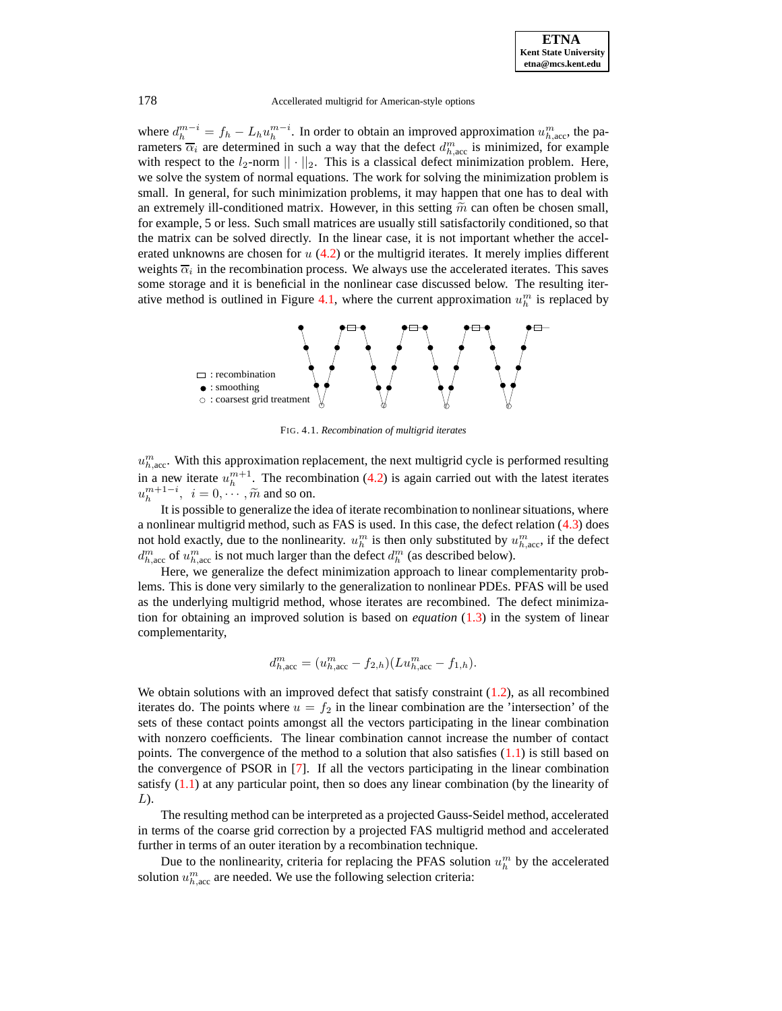where  $d_h^{m-i} = f_h - L_h u_h^{m-i}$ . In order to obtain an improved approximation  $u_{h,\text{acc}}^m$ , the parameters  $\overline{\alpha}_i$  are determined in such a way that the defect  $d_{h,\text{acc}}^m$  is minimized, for example with respect to the  $l_2$ -norm  $|| \cdot ||_2$ . This is a classical defect minimization problem. Here, we solve the system of normal equations. The work for solving the minimization problem is small. In general, for such minimization problems, it may happen that one has to deal with an extremely ill-conditioned matrix. However, in this setting  $\tilde{m}$  can often be chosen small, for example, 5 or less. Such small matrices are usually still satisfactorily conditioned, so that the matrix can be solved directly. In the linear case, it is not important whether the accelerated unknowns are chosen for  $u(4.2)$  $u(4.2)$  or the multigrid iterates. It merely implies different weights  $\overline{\alpha}_i$  in the recombination process. We always use the accelerated iterates. This saves some storage and it is beneficial in the nonlinear case discussed below. The resulting iter-ative method is outlined in Figure [4.1,](#page-15-0) where the current approximation  $u_h^m$  is replaced by



FIG. 4.1. *Recombination of multigrid iterates*

 $u_{h,\text{acc}}^m$ . With this approximation replacement, the next multigrid cycle is performed resulting in a new iterate  $u_h^{m+1}$ . The recombination [\(4.2\)](#page-12-2) is again carried out with the latest iterates  $u_h^{m+1-i}$ ,  $i = 0, \dots, \tilde{m}$  and so on.

It is possible to generalize the idea of iterate recombination to nonlinearsituations, where a nonlinear multigrid method, such as FAS is used. In this case, the defect relation [\(4.3\)](#page-12-3) does not hold exactly, due to the nonlinearity.  $u_h^m$  is then only substituted by  $u_{h,\text{acc}}^m$ , if the defect  $d_{h,\text{acc}}^m$  of  $u_{h,\text{acc}}^m$  is not much larger than the defect  $d_h^m$  (as described below).

Here, we generalize the defect minimization approach to linear complementarity problems. This is done very similarly to the generalization to nonlinear PDEs. PFAS will be used as the underlying multigrid method, whose iterates are recombined. The defect minimization for obtaining an improved solution is based on *equation* [\(1.3\)](#page-0-0) in the system of linear complementarity,

$$
d_{h,\mathrm{acc}}^m = (u_{h,\mathrm{acc}}^m - f_{2,h})(Lu_{h,\mathrm{acc}}^m - f_{1,h}).
$$

We obtain solutions with an improved defect that satisfy constraint  $(1.2)$ , as all recombined iterates do. The points where  $u = f_2$  in the linear combination are the 'intersection' of the sets of these contact points amongst all the vectors participating in the linear combination with nonzero coefficients. The linear combination cannot increase the number of contact points. The convergence of the method to a solution that also satisfies  $(1.1)$  is still based on the convergence of PSOR in [\[7\]](#page-20-1). If all the vectors participating in the linear combination satisfy [\(1.1\)](#page-0-0) at any particular point, then so does any linear combination (by the linearity of L).

The resulting method can be interpreted as a projected Gauss-Seidel method, accelerated in terms of the coarse grid correction by a projected FAS multigrid method and accelerated further in terms of an outer iteration by a recombination technique.

Due to the nonlinearity, criteria for replacing the PFAS solution  $u_h^m$  by the accelerated solution  $u_{h,\text{acc}}^m$  are needed. We use the following selection criteria: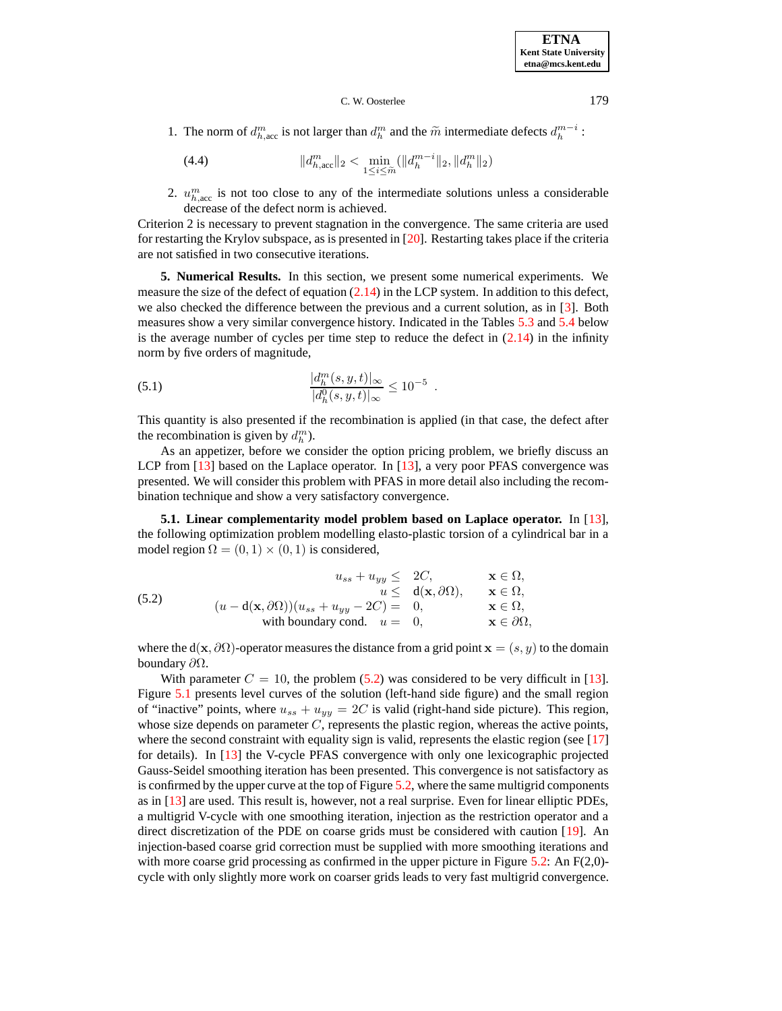1. The norm of  $d_{h,\text{acc}}^m$  is not larger than  $d_h^m$  and the  $\widetilde{m}$  intermediate defects  $d_h^{m-i}$ :

(4.4) 
$$
||d_{h,\text{acc}}^m||_2 < \min_{1 \le i \le \tilde{m}} (||d_h^{m-i}||_2, ||d_h^m||_2)
$$

2.  $u_{h,\text{acc}}^m$  is not too close to any of the intermediate solutions unless a considerable decrease of the defect norm is achieved.

Criterion 2 is necessary to prevent stagnation in the convergence. The same criteria are used for restarting the Krylov subspace, as is presented in [\[20\]](#page-20-6). Restarting takes place if the criteria are not satisfied in two consecutive iterations.

<span id="page-14-0"></span>**5. Numerical Results.** In this section, we present some numerical experiments. We measure the size of the defect of equation  $(2.14)$  in the LCP system. In addition to this defect, we also checked the difference between the previous and a current solution, as in [\[3\]](#page-19-0). Both measures show a very similar convergence history. Indicated in the Tables [5.3](#page-18-0) and [5.4](#page-19-4) below is the average number of cycles per time step to reduce the defect in  $(2.14)$  in the infinity norm by five orders of magnitude,

(5.1) 
$$
\frac{|d_h^m(s, y, t)|_{\infty}}{|d_h^0(s, y, t)|_{\infty}} \le 10^{-5}.
$$

This quantity is also presented if the recombination is applied (in that case, the defect after the recombination is given by  $d_h^m$ ).

As an appetizer, before we consider the option pricing problem, we briefly discuss an LCP from [\[13\]](#page-20-19) based on the Laplace operator. In [13], a very poor PFAS convergence was presented. We will consider this problem with PFAS in more detail also including the recombination technique and show a very satisfactory convergence.

<span id="page-14-2"></span><span id="page-14-1"></span>**5.1. Linear complementarity model problem based on Laplace operator.** In [\[13\]](#page-20-19), the following optimization problem modelling elasto-plastic torsion of a cylindrical bar in a model region  $\Omega = (0, 1) \times (0, 1)$  is considered,

(5.2) 
$$
u_{ss} + u_{yy} \leq 2C, \qquad \mathbf{x} \in \Omega, u \leq d(\mathbf{x}, \partial \Omega), \qquad \mathbf{x} \in \Omega, u + d(\mathbf{x}, \partial \Omega) (u_{ss} + u_{yy} - 2C) = 0, \qquad \mathbf{x} \in \Omega, with boundary cond.  $u = 0, \qquad \mathbf{x} \in \partial \Omega,$
$$

where the d(x,  $\partial\Omega$ )-operator measures the distance from a grid point  $x = (s, y)$  to the domain boundary ∂Ω.

With parameter  $C = 10$ , the problem [\(5.2\)](#page-14-2) was considered to be very difficult in [\[13\]](#page-20-19). Figure [5.1](#page-15-0) presents level curves of the solution (left-hand side figure) and the small region of "inactive" points, where  $u_{ss} + u_{yy} = 2C$  is valid (right-hand side picture). This region, whose size depends on parameter  $C$ , represents the plastic region, whereas the active points, where the second constraint with equality sign is valid, represents the elastic region (see [\[17\]](#page-20-20) for details). In [\[13\]](#page-20-19) the V-cycle PFAS convergence with only one lexicographic projected Gauss-Seidel smoothing iteration has been presented. This convergence is not satisfactory as is confirmed by the upper curve at the top of Figure [5.2,](#page-16-0) where the same multigrid components as in [\[13\]](#page-20-19) are used. This result is, however, not a real surprise. Even for linear elliptic PDEs, a multigrid V-cycle with one smoothing iteration, injection as the restriction operator and a direct discretization of the PDE on coarse grids must be considered with caution [\[19\]](#page-20-4). An injection-based coarse grid correction must be supplied with more smoothing iterations and with more coarse grid processing as confirmed in the upper picture in Figure [5.2:](#page-16-0) An  $F(2,0)$ cycle with only slightly more work on coarser grids leads to very fast multigrid convergence.

**ETNA Kent State University etna@mcs.kent.edu**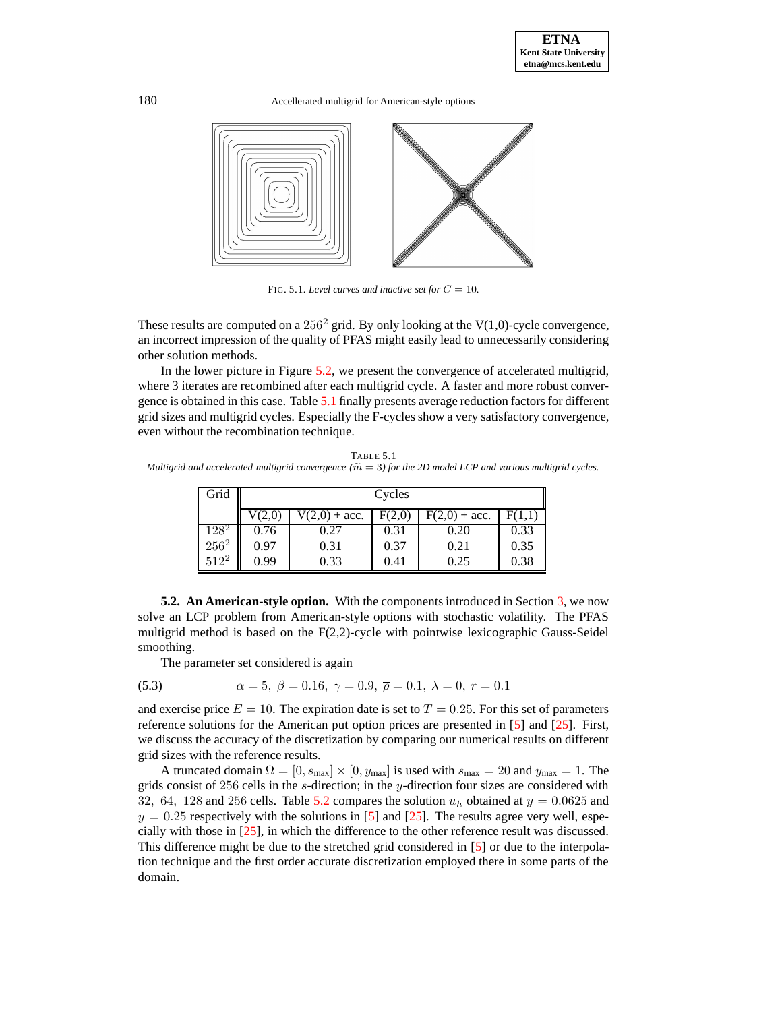

<span id="page-15-0"></span>FIG. 5.1. *Level curves* and *inactive set for*  $C = 10$ *.* 

These results are computed on a  $256<sup>2</sup>$  grid. By only looking at the V(1,0)-cycle convergence, an incorrect impression of the quality of PFAS might easily lead to unnecessarily considering other solution methods.

In the lower picture in Figure [5.2,](#page-16-0) we present the convergence of accelerated multigrid, where 3 iterates are recombined after each multigrid cycle. A faster and more robust convergence is obtained in this case. Table [5.1](#page-15-1) finally presents average reduction factors for different grid sizes and multigrid cycles. Especially the F-cycles show a very satisfactory convergence, even without the recombination technique.

<span id="page-15-1"></span>TABLE 5.1 *Multigrid* and accelerated multigrid convergence  $(\widetilde{m} = 3)$  for the 2D model LCP and various multigrid cycles.

| Grid    | Cycles |                 |      |                 |        |  |  |
|---------|--------|-----------------|------|-----------------|--------|--|--|
|         |        | $V(2,0) + acc.$ |      | $F(2,0) + acc.$ | F(1,1) |  |  |
| $128^2$ | 0.76   | 0.27            | 0.31 | 0.20            | 0.33   |  |  |
| $256^2$ | 0.97   | 0.31            | 0.37 | 0.21            | 0.35   |  |  |
| $512^2$ | 0.99   | 0.33            | 0.41 | 0.25            | 0.38   |  |  |

**5.2. An American-style option.** With the components introduced in Section [3,](#page-6-1) we now solve an LCP problem from American-style options with stochastic volatility. The PFAS multigrid method is based on the  $F(2,2)$ -cycle with pointwise lexicographic Gauss-Seidel smoothing.

<span id="page-15-2"></span>The parameter set considered is again

(5.3) 
$$
\alpha = 5, \ \beta = 0.16, \ \gamma = 0.9, \ \overline{\rho} = 0.1, \ \lambda = 0, \ r = 0.1
$$

and exercise price  $E = 10$ . The expiration date is set to  $T = 0.25$ . For this set of parameters reference solutions for the American put option prices are presented in [\[5\]](#page-20-21) and [\[25\]](#page-20-3). First, we discuss the accuracy of the discretization by comparing our numerical results on different grid sizes with the reference results.

A truncated domain  $\Omega = [0, s_{\text{max}}] \times [0, y_{\text{max}}]$  is used with  $s_{\text{max}} = 20$  and  $y_{\text{max}} = 1$ . The grids consist of 256 cells in the s-direction; in the y-direction four sizes are considered with 32, 64, 128 and 256 cells. Table [5.2](#page-18-1) compares the solution  $u_h$  obtained at  $y = 0.0625$  and  $y = 0.25$  respectively with the solutions in [\[5\]](#page-20-21) and [\[25\]](#page-20-3). The results agree very well, especially with those in [\[25\]](#page-20-3), in which the difference to the other reference result was discussed. This difference might be due to the stretched grid considered in [\[5\]](#page-20-21) or due to the interpolation technique and the first order accurate discretization employed there in some parts of the domain.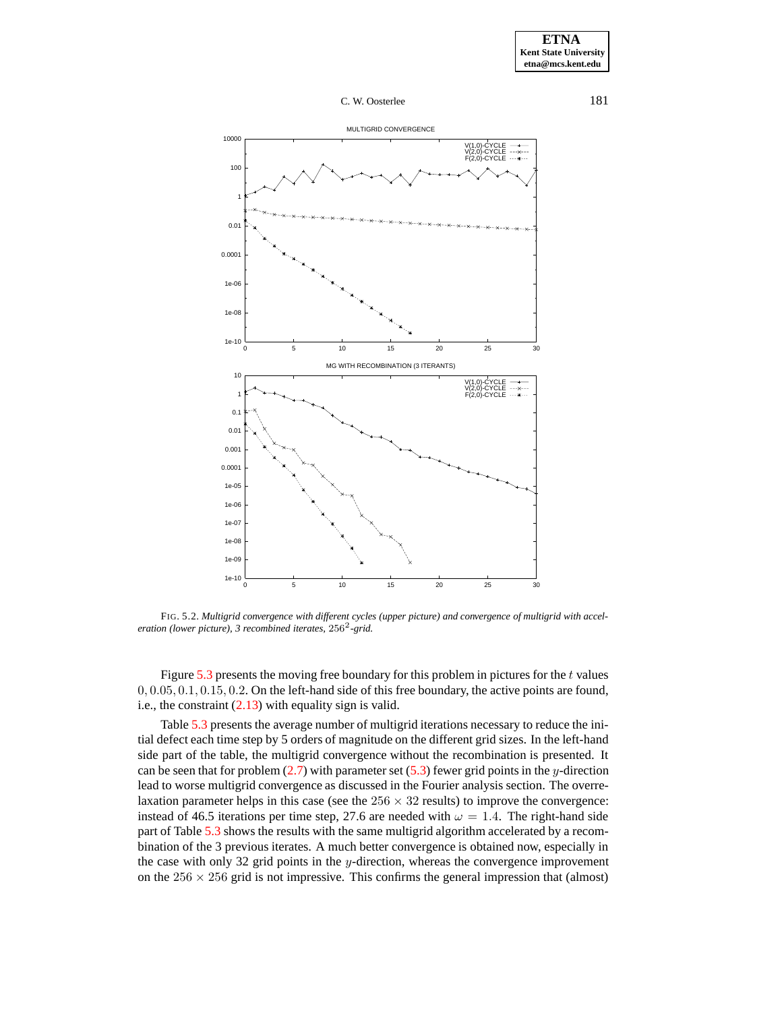

<span id="page-16-0"></span>FIG. 5.2. *Multigrid convergence with different cycles (upper picture) and convergence of multigrid with acceleration (lower picture), 3 recombined iterates,* 256<sup>2</sup> *-grid.*

Figure  $5.3$  presents the moving free boundary for this problem in pictures for the t values  $0, 0.05, 0.1, 0.15, 0.2$ . On the left-hand side of this free boundary, the active points are found, i.e., the constraint  $(2.13)$  with equality sign is valid.

Table [5.3](#page-18-0) presents the average number of multigrid iterations necessary to reduce the initial defect each time step by 5 orders of magnitude on the different grid sizes. In the left-hand side part of the table, the multigrid convergence without the recombination is presented. It can be seen that for problem  $(2.7)$  with parameter set  $(5.3)$  fewer grid points in the y-direction lead to worse multigrid convergence as discussed in the Fourier analysis section. The overrelaxation parameter helps in this case (see the  $256 \times 32$  results) to improve the convergence: instead of 46.5 iterations per time step, 27.6 are needed with  $\omega = 1.4$ . The right-hand side part of Table [5.3](#page-18-0) shows the results with the same multigrid algorithm accelerated by a recombination of the 3 previous iterates. A much better convergence is obtained now, especially in the case with only 32 grid points in the  $y$ -direction, whereas the convergence improvement on the  $256 \times 256$  grid is not impressive. This confirms the general impression that (almost)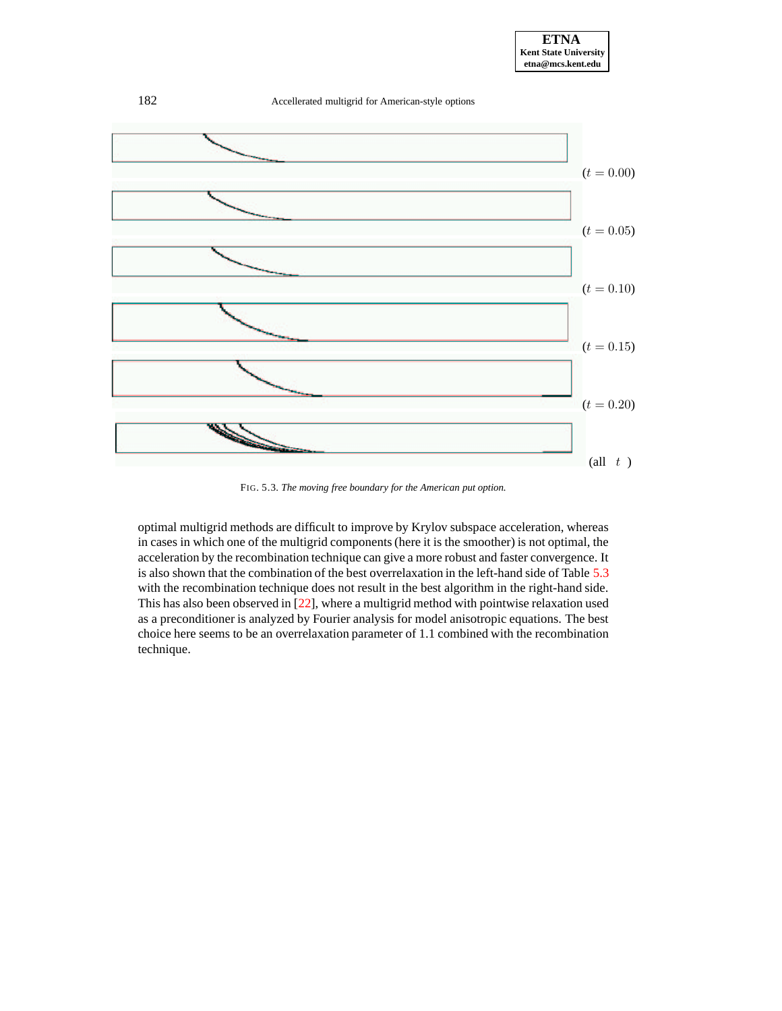

<span id="page-17-0"></span>FIG. 5.3. *The moving free boundary for the American put option.*

optimal multigrid methods are difficult to improve by Krylov subspace acceleration, whereas in cases in which one of the multigrid components (here it is the smoother) is not optimal, the acceleration by the recombination technique can give a more robust and faster convergence. It is also shown that the combination of the best overrelaxation in the left-hand side of Table [5.3](#page-18-0) with the recombination technique does not result in the best algorithm in the right-hand side. This has also been observed in [\[22\]](#page-20-17), where a multigrid method with pointwise relaxation used as a preconditioner is analyzed by Fourier analysis for model anisotropic equations. The best choice here seems to be an overrelaxation parameter of 1.1 combined with the recombination technique.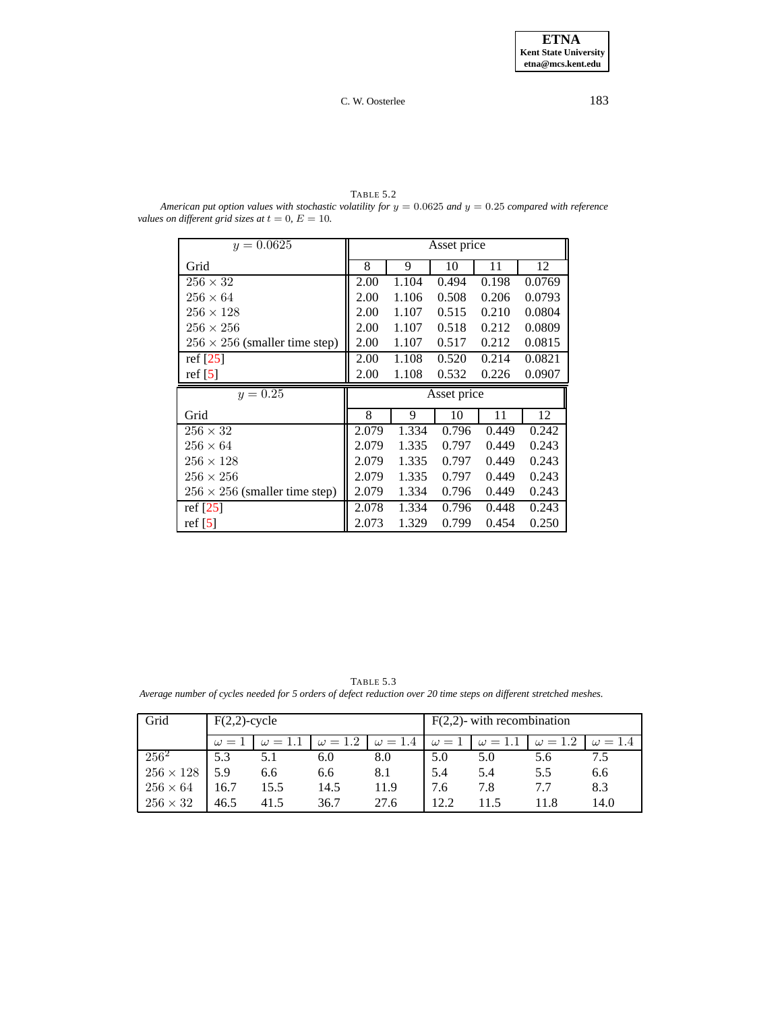<span id="page-18-1"></span>TABLE 5.2 *American put option values with stochastic volatility for* y = 0.0625 *and* y = 0.25 *compared with reference values on different grid sizes at*  $t = 0$ *,*  $E = 10$ *.* 

| $y = 0.0625$                         | Asset price |       |             |       |        |  |
|--------------------------------------|-------------|-------|-------------|-------|--------|--|
| Grid                                 | 8           | 9     | 10          | 11    | 12     |  |
| $256 \times 32$                      | 2.00        | 1.104 | 0.494       | 0.198 | 0.0769 |  |
| $256 \times 64$                      | 2.00        | 1.106 | 0.508       | 0.206 | 0.0793 |  |
| $256 \times 128$                     | 2.00        | 1.107 | 0.515       | 0.210 | 0.0804 |  |
| $256 \times 256$                     | 2.00        | 1.107 | 0.518       | 0.212 | 0.0809 |  |
| $256 \times 256$ (smaller time step) | 2.00        | 1.107 | 0.517       | 0.212 | 0.0815 |  |
| ref $[25]$                           | 2.00        | 1.108 | 0.520       | 0.214 | 0.0821 |  |
| ref $[5]$                            | 2.00        | 1.108 | 0.532       | 0.226 | 0.0907 |  |
|                                      |             |       |             |       |        |  |
| $y = 0.25$                           |             |       | Asset price |       |        |  |
| Grid                                 | 8           | 9     | 10          | 11    | 12     |  |
| $256 \times 32$                      | 2.079       | 1.334 | 0.796       | 0.449 | 0.242  |  |
| $256 \times 64$                      | 2.079       | 1.335 | 0.797       | 0.449 | 0.243  |  |
| $256 \times 128$                     | 2.079       | 1.335 | 0.797       | 0.449 | 0.243  |  |
| $256 \times 256$                     | 2.079       | 1.335 | 0.797       | 0.449 | 0.243  |  |
| $256 \times 256$ (smaller time step) | 2.079       | 1.334 | 0.796       | 0.449 | 0.243  |  |
| ref $[25]$                           | 2.078       | 1.334 | 0.796       | 0.448 | 0.243  |  |

TABLE 5.3 Average number of cycles needed for 5 orders of defect reduction over 20 time steps on different stretched meshes.

<span id="page-18-0"></span>

| Grid             | $F(2,2)$ -cycle |                |                | $F(2,2)$ - with recombination |      |                             |                |                |
|------------------|-----------------|----------------|----------------|-------------------------------|------|-----------------------------|----------------|----------------|
|                  | $\omega = 1$    | $\omega = 1.1$ | $\omega = 1.2$ | $\omega = 1.4$                |      | $\omega = 1$ $\omega = 1.1$ | $\omega = 1.2$ | $\omega = 1.4$ |
| $256^2$          | 5.3             |                | 6.0            | 8.0                           | 5.0  | 5.0                         | 5.6            | 7.5            |
| $256 \times 128$ | 5.9             | 6.6            | 6.6            | 8.1                           | 5.4  | 5.4                         | 5.5            | 6.6            |
| $256 \times 64$  | 16.7            | 15.5           | 14.5           | 11.9                          | 7.6  | 7.8                         | 7.7            | 8.3            |
| $256 \times 32$  | 46.5            | 41.5           | 36.7           | 27.6                          | 12.2 |                             | 11.8           | 14.0           |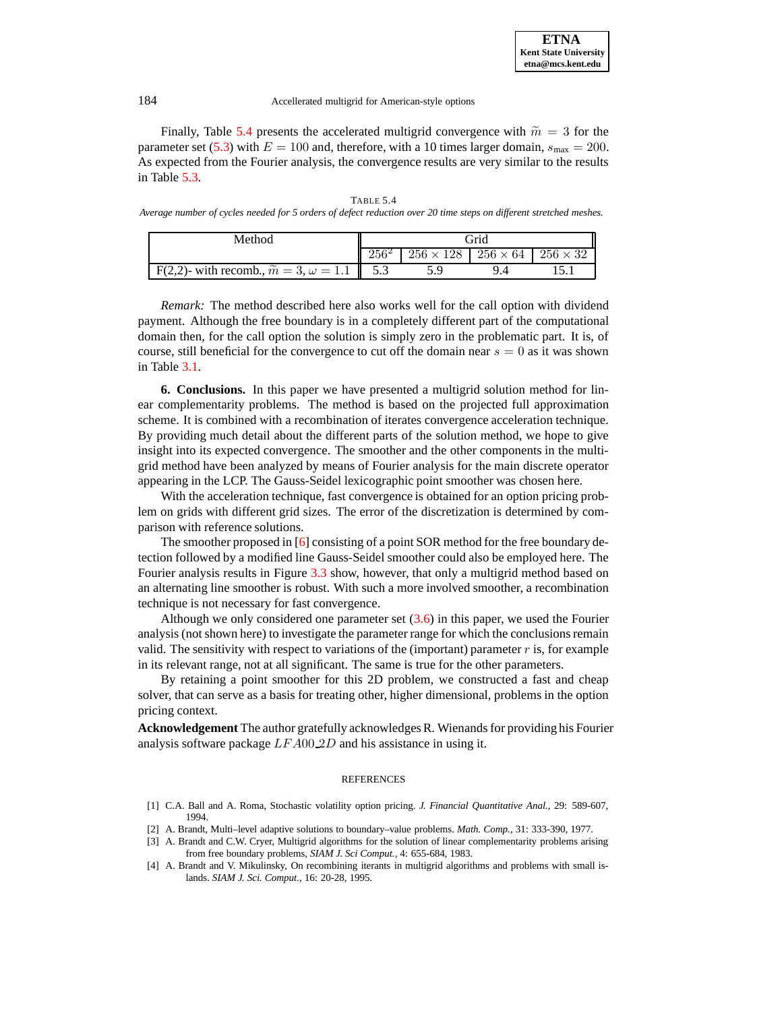Finally, Table [5.4](#page-19-4) presents the accelerated multigrid convergence with  $\tilde{m} = 3$  for the parameter set [\(5.3\)](#page-15-2) with  $E = 100$  and, therefore, with a 10 times larger domain,  $s_{\text{max}} = 200$ . As expected from the Fourier analysis, the convergence results are very similar to the results in Table [5.3.](#page-18-0)

<span id="page-19-4"></span>

|                                                                                                                    | <b>TABLE 5.4</b> |  |
|--------------------------------------------------------------------------------------------------------------------|------------------|--|
| Average number of cycles needed for 5 orders of defect reduction over 20 time steps on different stretched meshes. |                  |  |
|                                                                                                                    |                  |  |

| Method                                                    | .<br>Trid |                                                      |  |  |  |
|-----------------------------------------------------------|-----------|------------------------------------------------------|--|--|--|
|                                                           |           | $256 \times 128$   $256 \times 64$   $256 \times 32$ |  |  |  |
| F(2,2)- with recomb., $\tilde{m} = 3, \omega = 1.1$   5.3 |           |                                                      |  |  |  |

*Remark:* The method described here also works well for the call option with dividend payment. Although the free boundary is in a completely different part of the computational domain then, for the call option the solution is simply zero in the problematic part. It is, of course, still beneficial for the convergence to cut off the domain near  $s = 0$  as it was shown in Table [3.1.](#page-15-1)

**6. Conclusions.** In this paper we have presented a multigrid solution method for linear complementarity problems. The method is based on the projected full approximation scheme. It is combined with a recombination of iterates convergence acceleration technique. By providing much detail about the different parts of the solution method, we hope to give insight into its expected convergence. The smoother and the other components in the multigrid method have been analyzed by means of Fourier analysis for the main discrete operator appearing in the LCP. The Gauss-Seidel lexicographic point smoother was chosen here.

With the acceleration technique, fast convergence is obtained for an option pricing problem on grids with different grid sizes. The error of the discretization is determined by comparison with reference solutions.

The smoother proposed in [\[6\]](#page-20-2) consisting of a point SOR method for the free boundary detection followed by a modified line Gauss-Seidel smoother could also be employed here. The Fourier analysis results in Figure [3.3](#page-17-0) show, however, that only a multigrid method based on an alternating line smoother is robust. With such a more involved smoother, a recombination technique is not necessary for fast convergence.

Although we only considered one parameter set  $(3.6)$  in this paper, we used the Fourier analysis (not shown here) to investigate the parameter range for which the conclusionsremain valid. The sensitivity with respect to variations of the (important) parameter  $r$  is, for example in its relevant range, not at all significant. The same is true for the other parameters.

By retaining a point smoother for this 2D problem, we constructed a fast and cheap solver, that can serve as a basis for treating other, higher dimensional, problems in the option pricing context.

Acknowledgement The author gratefully acknowledges R. Wienands for providing his Fourier analysis software package LFA00 2D and his assistance in using it.

### **REFERENCES**

- <span id="page-19-3"></span><span id="page-19-1"></span>[1] C.A. Ball and A. Roma, Stochastic volatility option pricing. *J. Financial Quantitative Anal.,* 29: 589-607, 1994.
- <span id="page-19-0"></span>[2] A. Brandt, Multi–level adaptive solutions to boundary–value problems. *Math. Comp.,* 31: 333-390, 1977.
- [3] A. Brandt and C.W. Cryer, Multigrid algorithms for the solution of linear complementarity problems arising from free boundary problems, *SIAM J. Sci Comput.,* 4: 655-684, 1983.
- <span id="page-19-2"></span>[4] A. Brandt and V. Mikulinsky, On recombining iterants in multigrid algorithms and problems with small islands. *SIAM J. Sci. Comput.,* 16: 20-28, 1995.